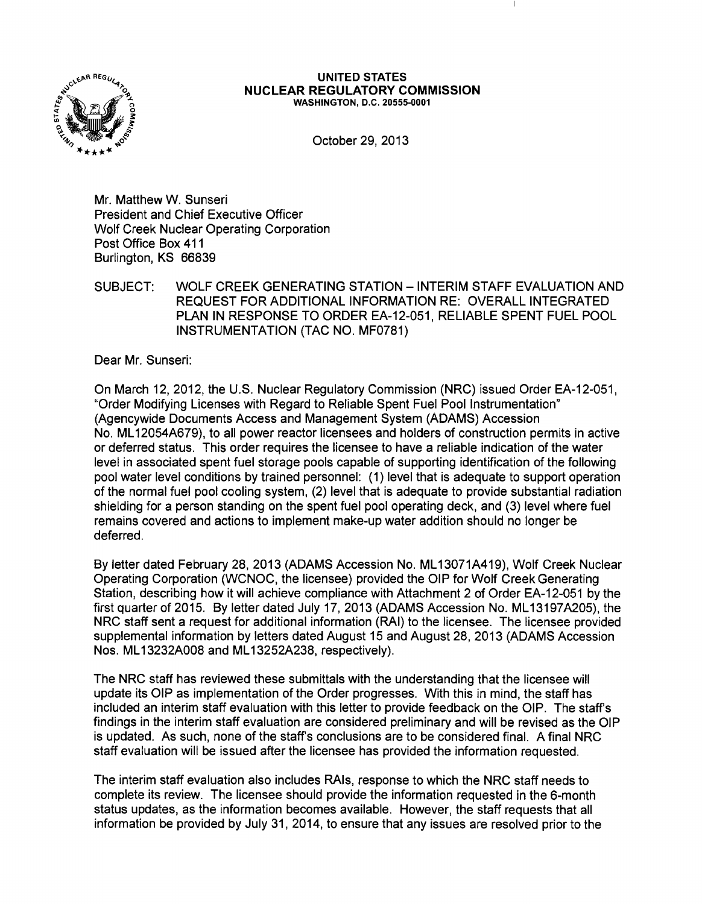

#### UNITED STATES NUCLEAR REGULATORY COMMISSION WASHINGTON, D.C. 20555-0001

October 29, 2013

Mr. Matthew W. Sunseri President and Chief Executive Officer Wolf Creek Nuclear Operating Corporation Post Office Box 411 Burlington, KS 66839

SUBJECT: WOLF CREEK GENERATING STATION -INTERIM STAFF EVALUATION AND REQUEST FOR ADDITIONAL INFORMATION RE: OVERALL INTEGRATED PLAN IN RESPONSE TO ORDER EA-12-051, RELIABLE SPENT FUEL POOL INSTRUMENTATION (TAC NO. MF0781)

Dear Mr. Sunseri:

On March 12,2012, the U.S. Nuclear Regulatory Commission (NRC) issued Order EA-12-051, "Order Modifying Licenses with Regard to Reliable Spent Fuel Pool Instrumentation" (Agencywide Documents Access and Management System (ADAMS) Accession No. ML 12054A679), to all power reactor licensees and holders of construction permits in active or deferred status. This order requires the licensee to have a reliable indication of the water level in associated spent fuel storage pools capable of supporting identification of the following pool water level conditions by trained personnel: (1) level that is adequate to support operation of the normal fuel pool cooling system, (2) level that is adequate to provide substantial radiation shielding for a person standing on the spent fuel pool operating deck, and (3) level where fuel remains covered and actions to implement make-up water addition should no longer be deferred.

By letter dated February 28, 2013 (ADAMS Accession No. ML 13071A419), Wolf Creek Nuclear Operating Corporation (WCNOC, the licensee) provided the OIP for Wolf Creek Generating Station, describing how it will achieve compliance with Attachment 2 of Order EA-12-051 by the first quarter of 2015. By letter dated July 17, 2013 (ADAMS Accession No. ML13197A205), the NRC staff sent a request for additional information (RAI) to the licensee. The licensee provided supplemental information by letters dated August 15 and August 28, 2013 (ADAMS Accession Nos. ML 13232A008 and ML 13252A238, respectively).

The NRC staff has reviewed these submittals with the understanding that the licensee will update its OIP as implementation of the Order progresses. With this in mind, the staff has included an interim staff evaluation with this letter to provide feedback on the OIP. The staff's findings in the interim staff evaluation are considered preliminary and will be revised as the OIP is updated. As such, none of the staff's conclusions are to be considered final. A final NRC staff evaluation will be issued after the licensee has provided the information requested.

The interim staff evaluation also includes RAis, response to which the NRC staff needs to complete its review. The licensee should provide the information requested in the 6-month status updates, as the information becomes available. However, the staff requests that all information be provided by July 31, 2014, to ensure that any issues are resolved prior to the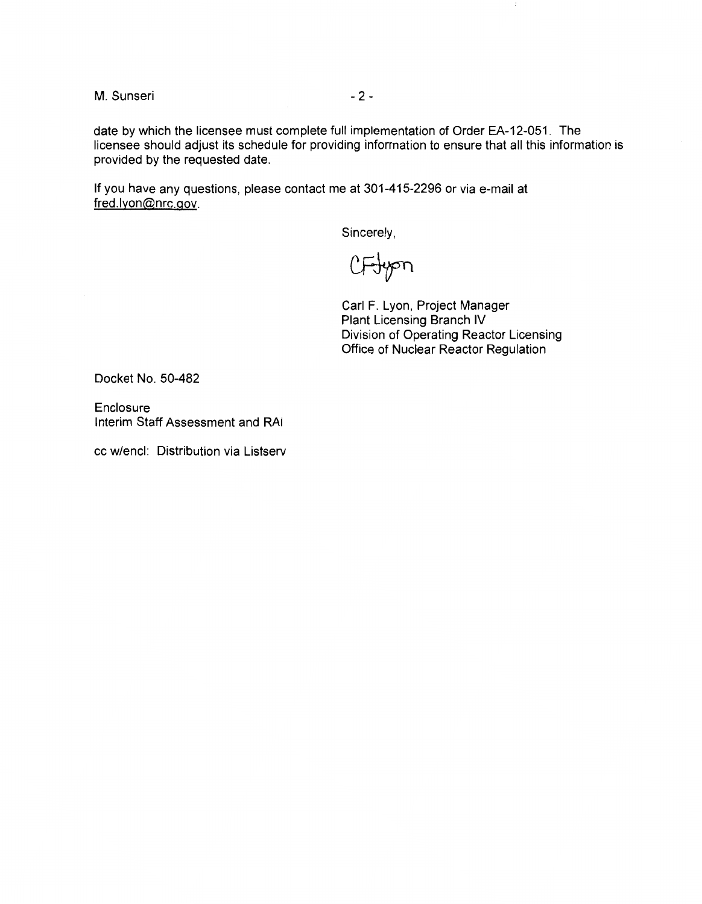M. Sunseri - 2 -

date by which the licensee must complete full implementation of Order EA-12-051. The licensee should adjust its schedule for providing information to ensure that all this information is provided by the requested date.

If you have any questions, please contact me at 301-415-2296 or via e-mail at fred.lyon@nrc.gov.

Sincerely,

CFJyon

Carl F. Lyon, Project Manager Plant Licensing Branch IV Division of Operating Reactor Licensing Office of Nuclear Reactor Regulation

Docket No. 50-482

Enclosure Interim Staff Assessment and RAI

cc w/encl: Distribution via Listserv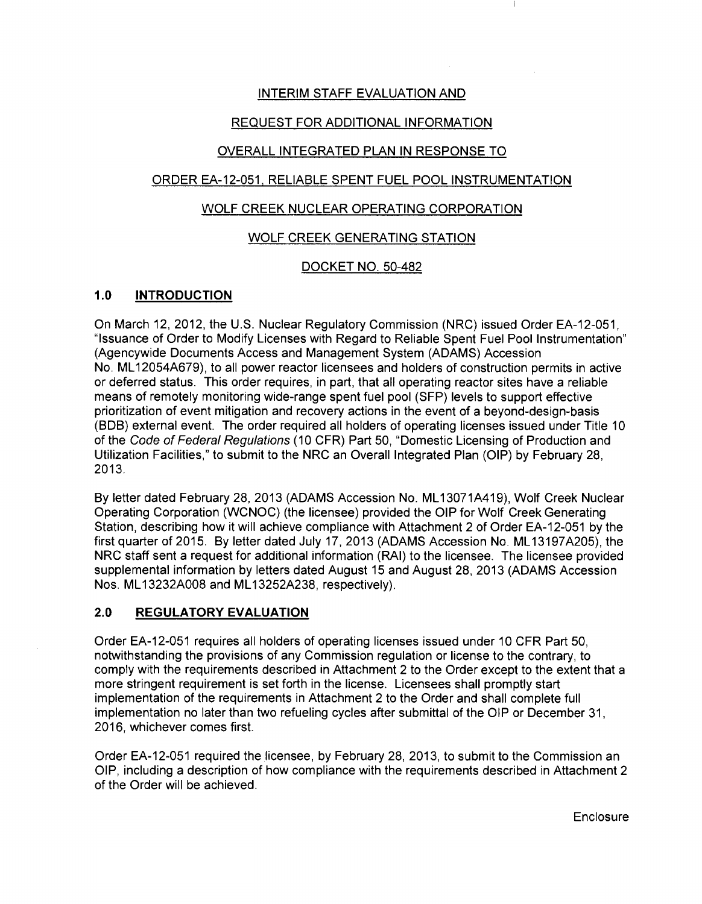# INTERIM STAFF EVALUATION AND

# REQUEST FOR ADDITIONAL INFORMATION

## OVERALL INTEGRATED PLAN IN RESPONSE TO

## ORDER EA-12-051. RELIABLE SPENT FUEL POOL INSTRUMENTATION

## WOLF CREEK NUCLEAR OPERATING CORPORATION

## WOLF CREEK GENERATING STATION

## DOCKET NO. 50-482

## **1.0 INTRODUCTION**

On March 12, 2012, the U.S. Nuclear Regulatory Commission (NRC) issued Order EA-12-051, "Issuance of Order to Modify Licenses with Regard to Reliable Spent Fuel Pool Instrumentation" (Agencywide Documents Access and Management System (ADAMS) Accession No. ML 12054A679), to all power reactor licensees and holders of construction permits in active or deferred status. This order requires, in part, that all operating reactor sites have a reliable means of remotely monitoring wide-range spent fuel pool (SFP) levels to support effective prioritization of event mitigation and recovery actions in the event of a beyond-design-basis (BOB) external event. The order required all holders of operating licenses issued under Title 10 of the Code of Federal Regulations (10 CFR) Part 50, "Domestic Licensing of Production and Utilization Facilities," to submit to the NRC an Overall Integrated Plan (OIP) by February 28, 2013.

By letter dated February 28, 2013 (ADAMS Accession No. ML 13071A419), Wolf Creek Nuclear Operating Corporation (WCNOC) (the licensee) provided the OIP for Wolf Creek Generating Station, describing how it will achieve compliance with Attachment 2 of Order EA-12-051 by the first quarter of 2015. By letter dated July 17, 2013 (ADAMS Accession No. ML13197A205), the NRC staff sent a request for additional information (RAI) to the licensee. The licensee provided supplemental information by letters dated August 15 and August 28, 2013 (ADAMS Accession Nos. ML 13232A008 and ML 13252A238, respectively).

## 2.0 **REGULATORY EVALUATION**

Order EA-12-051 requires all holders of operating licenses issued under 10 CFR Part 50, notwithstanding the provisions of any Commission regulation or license to the contrary, to comply with the requirements described in Attachment 2 to the Order except to the extent that a more stringent requirement is set forth in the license. Licensees shall promptly start implementation of the requirements in Attachment 2 to the Order and shall complete full implementation no later than two refueling cycles after submittal of the OIP or December 31, 2016, whichever comes first.

Order EA-12-051 required the licensee, by February 28, 2013, to submit to the Commission an OIP, including a description of how compliance with the requirements described in Attachment 2 of the Order will be achieved.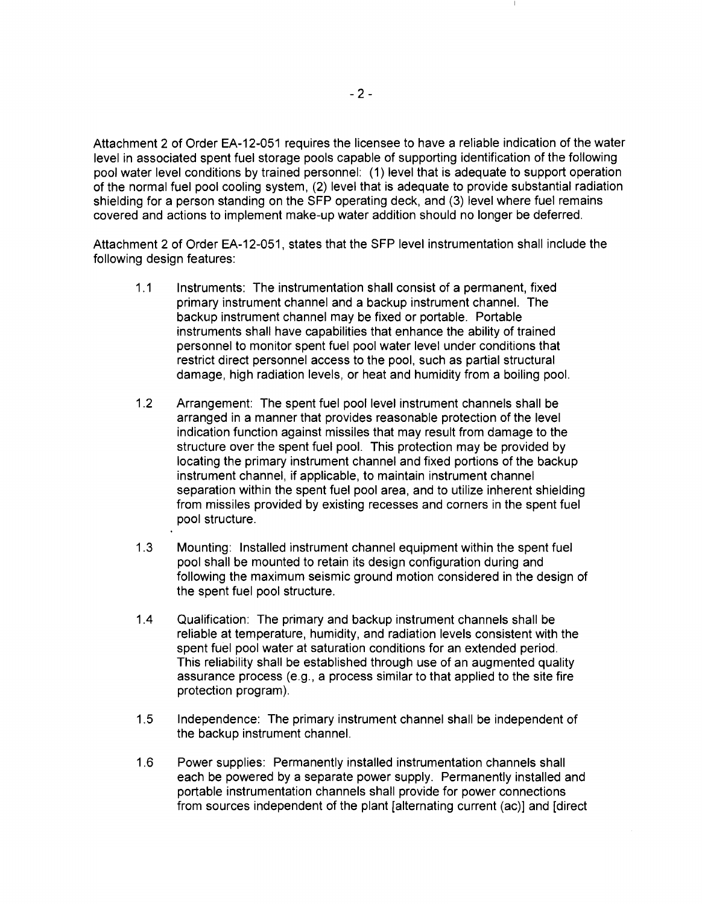Attachment 2 of Order EA-12-051 requires the licensee to have a reliable indication of the water level in associated spent fuel storage pools capable of supporting identification of the following pool water level conditions by trained personnel: (1) level that is adequate to support operation of the normal fuel pool cooling system, (2) level that is adequate to provide substantial radiation shielding for a person standing on the SFP operating deck, and (3) level where fuel remains covered and actions to implement make-up water addition should no longer be deferred.

Attachment 2 of Order EA-12-051, states that the SFP level instrumentation shall include the following design features:

- 1.1 Instruments: The instrumentation shall consist of a permanent, fixed primary instrument channel and a backup instrument channel. The backup instrument channel may be fixed or portable. Portable instruments shall have capabilities that enhance the ability of trained personnel to monitor spent fuel pool water level under conditions that restrict direct personnel access to the pool, such as partial structural damage, high radiation levels, or heat and humidity from a boiling pool.
- 1.2 Arrangement: The spent fuel pool level instrument channels shall be arranged in a manner that provides reasonable protection of the level indication function against missiles that may result from damage to the structure over the spent fuel pool. This protection may be provided by locating the primary instrument channel and fixed portions of the backup instrument channel, if applicable, to maintain instrument channel separation within the spent fuel pool area, and to utilize inherent shielding from missiles provided by existing recesses and corners in the spent fuel pool structure.
- 1.3 Mounting: Installed instrument channel equipment within the spent fuel pool shall be mounted to retain its design configuration during and following the maximum seismic ground motion considered in the design of the spent fuel pool structure.
- 1.4 Qualification: The primary and backup instrument channels shall be reliable at temperature, humidity, and radiation levels consistent with the spent fuel pool water at saturation conditions for an extended period. This reliability shall be established through use of an augmented quality assurance process (e.g., a process similar to that applied to the site fire protection program).
- 1.5 Independence: The primary instrument channel shall be independent of the backup instrument channel.
- 1.6 Power supplies: Permanently installed instrumentation channels shall each be powered by a separate power supply. Permanently installed and portable instrumentation channels shall provide for power connections from sources independent of the plant [alternating current (ac)) and [direct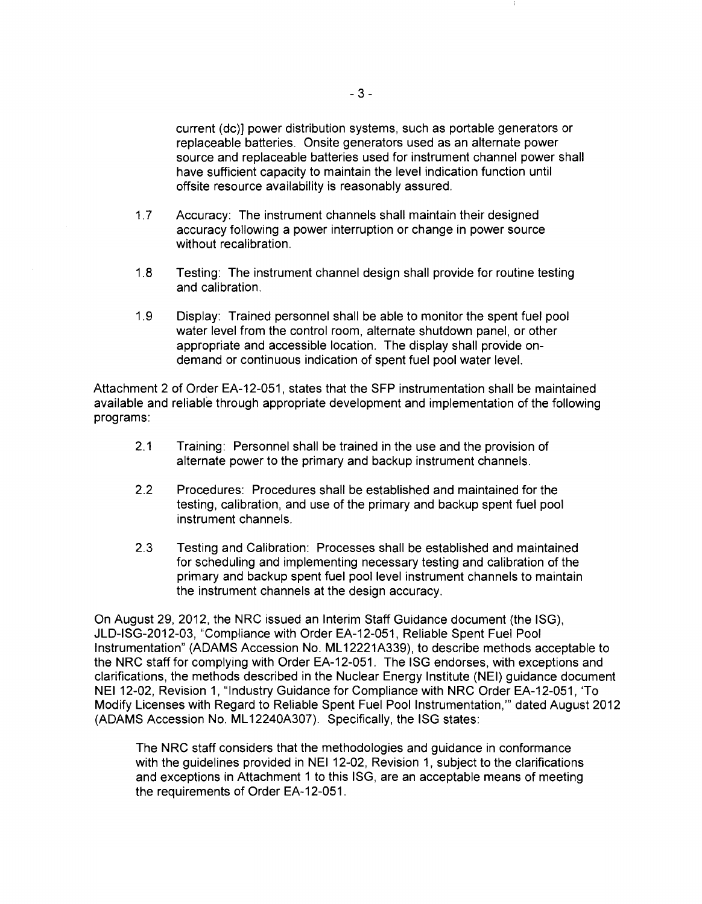current (de)] power distribution systems, such as portable generators or replaceable batteries. Onsite generators used as an alternate power source and replaceable batteries used for instrument channel power shall have sufficient capacity to maintain the level indication function until offsite resource availability is reasonably assured.

- 1.7 Accuracy: The instrument channels shall maintain their designed accuracy following a power interruption or change in power source without recalibration.
- 1.8 Testing: The instrument channel design shall provide for routine testing and calibration.
- 1.9 Display: Trained personnel shall be able to monitor the spent fuel pool water level from the control room, alternate shutdown panel, or other appropriate and accessible location. The display shall provide ondemand or continuous indication of spent fuel pool water level.

Attachment 2 of Order EA-12-051, states that the SFP instrumentation shall be maintained available and reliable through appropriate development and implementation of the following programs:

- 2.1 Training: Personnel shall be trained in the use and the provision of alternate power to the primary and backup instrument channels.
- 2.2 Procedures: Procedures shall be established and maintained for the testing, calibration, and use of the primary and backup spent fuel pool instrument channels.
- 2.3 Testing and Calibration: Processes shall be established and maintained for scheduling and implementing necessary testing and calibration of the primary and backup spent fuel pool level instrument channels to maintain the instrument channels at the design accuracy.

On August 29, 2012, the NRC issued an Interim Staff Guidance document (the ISG), JLD-ISG-2012-03, "Compliance with Order EA-12-051, Reliable Spent Fuel Pool Instrumentation" (ADAMS Accession No. ML 12221A339), to describe methods acceptable to the NRC staff for complying with Order EA-12-051. The ISG endorses, with exceptions and clarifications, the methods described in the Nuclear Energy Institute (NEI) guidance document NEI 12-02, Revision 1, "Industry Guidance for Compliance with NRC Order EA-12-051, 'To Modify Licenses with Regard to Reliable Spent Fuel Pool Instrumentation,"' dated August 2012 (ADAMS Accession No. ML 12240A307). Specifically, the ISG states:

The NRC staff considers that the methodologies and guidance in conformance with the guidelines provided in NEI 12-02, Revision 1, subject to the clarifications and exceptions in Attachment 1 to this ISG, are an acceptable means of meeting the requirements of Order EA-12-051.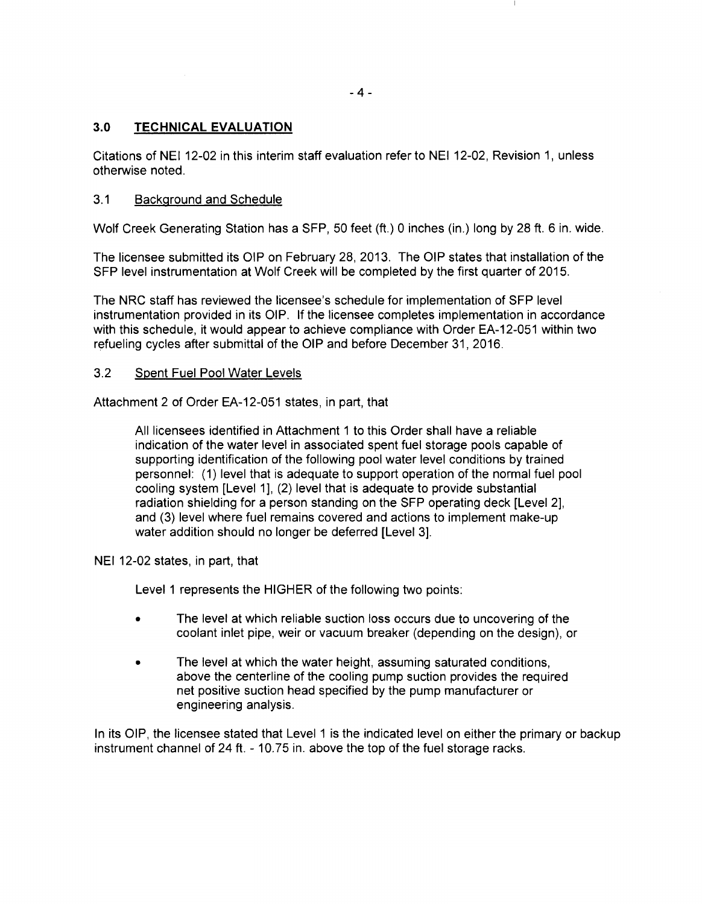## 3.0 **TECHNICAL EVALUATION**

Citations of NEI 12-02 in this interim staff evaluation refer to NEI 12-02, Revision 1, unless otherwise noted.

## 3.1 Background and Schedule

Wolf Creek Generating Station has a SFP, 50 feet (ft.) 0 inches (in.) long by 28ft. 6 in. wide.

The licensee submitted its OIP on February 28, 2013. The OIP states that installation of the SFP level instrumentation at Wolf Creek will be completed by the first quarter of 2015.

The NRC staff has reviewed the licensee's schedule for implementation of SFP level instrumentation provided in its OIP. If the licensee completes implementation in accordance with this schedule, it would appear to achieve compliance with Order EA-12-051 within two refueling cycles after submittal of the OIP and before December 31, 2016.

### 3.2 Spent Fuel Pool Water Levels

Attachment 2 of Order EA-12-051 states, in part, that

All licensees identified in Attachment 1 to this Order shall have a reliable indication of the water level in associated spent fuel storage pools capable of supporting identification of the following pool water level conditions by trained personnel: ( 1) level that is adequate to support operation of the normal fuel pool cooling system [Level 1], (2) level that is adequate to provide substantial radiation shielding for a person standing on the SFP operating deck [Level 2], and (3) level where fuel remains covered and actions to implement make-up water addition should no longer be deferred [Level 3].

NEI 12-02 states, in part, that

Level 1 represents the HIGHER of the following two points:

- The level at which reliable suction loss occurs due to uncovering of the coolant inlet pipe, weir or vacuum breaker (depending on the design), or
- The level at which the water height, assuming saturated conditions, above the centerline of the cooling pump suction provides the required net positive suction head specified by the pump manufacturer or engineering analysis.

In its OIP, the licensee stated that Level 1 is the indicated level on either the primary or backup instrument channel of 24ft. - 10.75 in. above the top of the fuel storage racks.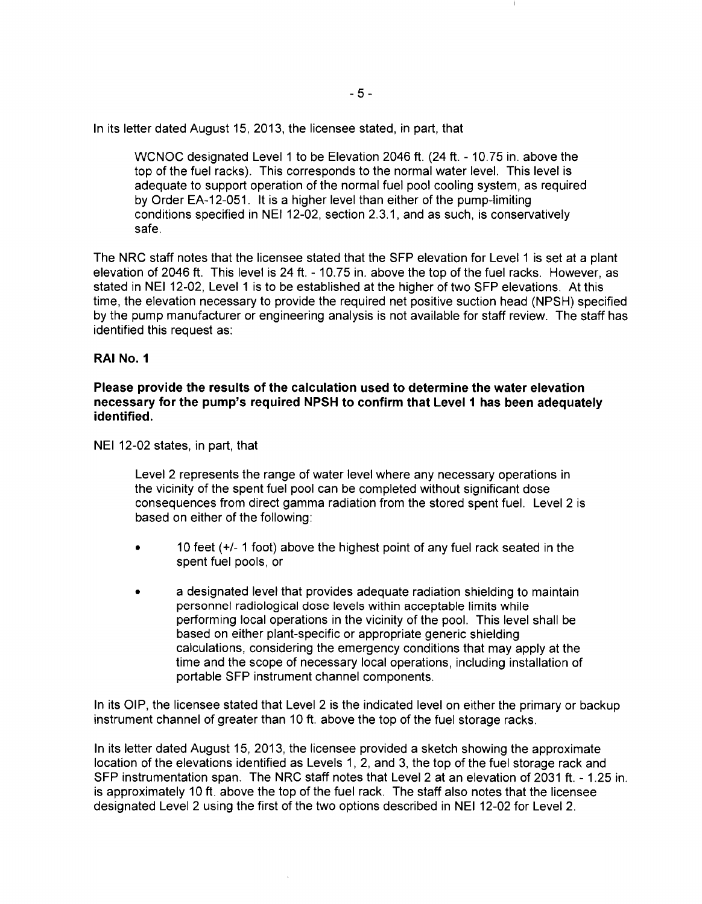In its letter dated August 15, 2013, the licensee stated, in part, that

WCNOC designated Level 1 to be Elevation 2046 ft. (24 ft. - 10.75 in. above the top of the fuel racks). This corresponds to the normal water level. This level is adequate to support operation of the normal fuel pool cooling system, as required by Order EA-12-051. It is a higher level than either of the pump-limiting conditions specified in NEI 12-02, section 2.3.1, and as such, is conservatively safe.

The NRC staff notes that the licensee stated that the SFP elevation for Level 1 is set at a plant elevation of 2046 ft. This level is 24ft. - 10.75 in. above the top of the fuel racks. However, as stated in NEI 12-02, Level 1 is to be established at the higher of two SFP elevations. At this time, the elevation necessary to provide the required net positive suction head (NPSH) specified by the pump manufacturer or engineering analysis is not available for staff review. The staff has identified this request as:

## **RAI No.1**

**Please provide the results of the calculation used to determine the water elevation necessary for the pump's required NPSH to confirm that Level 1 has been adequately identified.** 

NEI 12-02 states, in part, that

Level 2 represents the range of water level where any necessary operations in the vicinity of the spent fuel pool can be completed without significant dose consequences from direct gamma radiation from the stored spent fuel. Level 2 is based on either of the following:

- 10 feet  $(+/- 1$  foot) above the highest point of any fuel rack seated in the spent fuel pools, or
- a designated level that provides adequate radiation shielding to maintain personnel radiological dose levels within acceptable limits while performing local operations in the vicinity of the pool. This level shall be based on either plant-specific or appropriate generic shielding calculations, considering the emergency conditions that may apply at the time and the scope of necessary local operations, including installation of portable SFP instrument channel components.

In its OIP, the licensee stated that Level 2 is the indicated level on either the primary or backup instrument channel of greater than 10 ft. above the top of the fuel storage racks.

In its letter dated August 15, 2013, the licensee provided a sketch showing the approximate location of the elevations identified as Levels 1, 2, and 3, the top of the fuel storage rack and SFP instrumentation span. The NRC staff notes that Level 2 at an elevation of 2031 ft. - 1.25 in. is approximately 10 ft. above the top of the fuel rack. The staff also notes that the licensee designated Level 2 using the first of the two options described in NEI 12-02 for Level 2.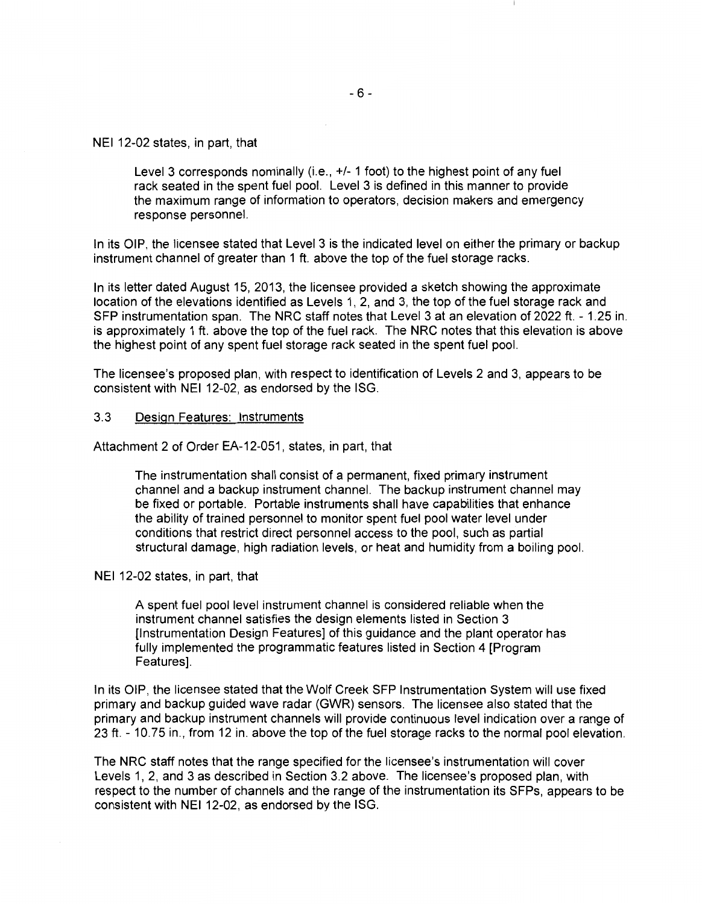#### NEI 12-02 states, in part, that

Level 3 corresponds nominally (i.e., +/- 1 foot) to the highest point of any fuel rack seated in the spent fuel pool. Level 3 is defined in this manner to provide the maximum range of information to operators, decision makers and emergency response personnel.

In its OIP, the licensee stated that Level 3 is the indicated level on either the primary or backup instrument channel of greater than 1 ft. above the top of the fuel storage racks.

In its letter dated August 15, 2013, the licensee provided a sketch showing the approximate location of the elevations identified as Levels 1, 2, and 3, the top of the fuel storage rack and SFP instrumentation span. The NRC staff notes that Level 3 at an elevation of 2022 ft. - 1.25 in. is approximately 1 ft. above the top of the fuel rack. The NRC notes that this elevation is above the highest point of any spent fuel storage rack seated in the spent fuel pool.

The licensee's proposed plan, with respect to identification of Levels 2 and 3, appears to be consistent with NEI 12-02, as endorsed by the ISG.

#### 3.3 Design Features: Instruments

Attachment 2 of Order EA-12-051, states, in part, that

The instrumentation shall consist of a permanent, fixed primary instrument channel and a backup instrument channel. The backup instrument channel may be fixed or portable. Portable instruments shall have capabilities that enhance the ability of trained personnel to monitor spent fuel pool water level under conditions that restrict direct personnel access to the pool, such as partial structural damage, high radiation levels, or heat and humidity from a boiling pool.

#### NEI 12-02 states, in part, that

A spent fuel pool level instrument channel is considered reliable when the instrument channel satisfies the design elements listed in Section 3 (Instrumentation Design Features] of this guidance and the plant operator has fully implemented the programmatic features listed in Section 4 [Program Features].

In its OIP, the licensee stated that the Wolf Creek SFP Instrumentation System will use fixed primary and backup guided wave radar (GWR) sensors. The licensee also stated that the primary and backup instrument channels will provide continuous level indication over a range of 23ft. - 10.75 in., from 12 in. above the top of the fuel storage racks to the normal pool elevation.

The NRC staff notes that the range specified for the licensee's instrumentation will cover Levels 1, 2, and 3 as described in Section 3.2 above. The licensee's proposed plan, with respect to the number of channels and the range of the instrumentation its SFPs, appears to be consistent with NEI 12-02, as endorsed by the ISG.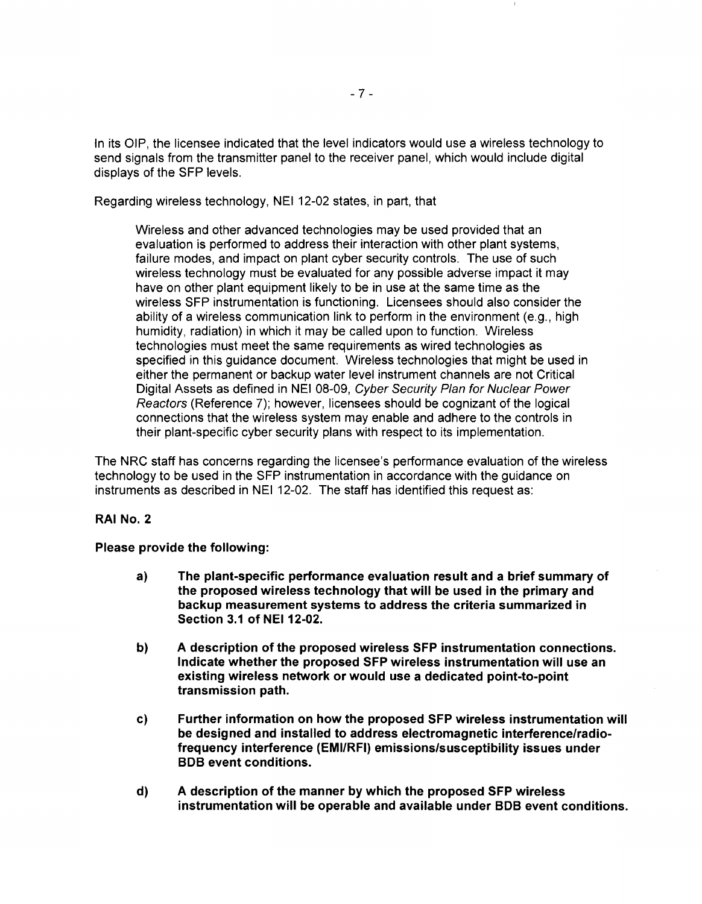In its OIP, the licensee indicated that the level indicators would use a wireless technology to send signals from the transmitter panel to the receiver panel, which would include digital displays of the SFP levels.

Regarding wireless technology, NEI 12-02 states, in part, that

Wireless and other advanced technologies may be used provided that an evaluation is performed to address their interaction with other plant systems, failure modes, and impact on plant cyber security controls. The use of such wireless technology must be evaluated for any possible adverse impact it may have on other plant equipment likely to be in use at the same time as the wireless SFP instrumentation is functioning. Licensees should also consider the ability of a wireless communication link to perform in the environment (e.g., high humidity, radiation) in which it may be called upon to function. Wireless technologies must meet the same requirements as wired technologies as specified in this guidance document. Wireless technologies that might be used in either the permanent or backup water level instrument channels are not Critical Digital Assets as defined in NEI 08-09, Cyber Security Plan for Nuclear Power Reactors (Reference 7); however, licensees should be cognizant of the logical connections that the wireless system may enable and adhere to the controls in their plant-specific cyber security plans with respect to its implementation.

The NRC staff has concerns regarding the licensee's performance evaluation of the wireless technology to be used in the SFP instrumentation in accordance with the guidance on instruments as described in NEI 12-02. The staff has identified this request as:

### **RAI No.2**

### **Please provide the following:**

- **a) The plant-specific performance evaluation result and a brief summary of the proposed wireless technology that will be used in the primary and backup measurement systems to address the criteria summarized in Section 3.1 of NEI 12-02.**
- **b) A description of the proposed wireless SFP instrumentation connections. Indicate whether the proposed SFP wireless instrumentation will use an existing wireless network or would use a dedicated point-to-point transmission path.**
- **c) Further information on how the proposed SFP wireless instrumentation will be designed and installed to address electromagnetic interference/radiofrequency interference (EMI/RFI) emissions/susceptibility issues under BOB event conditions.**
- **d) A description of the manner by which the proposed SFP wireless instrumentation will be operable and available under BOB event conditions.**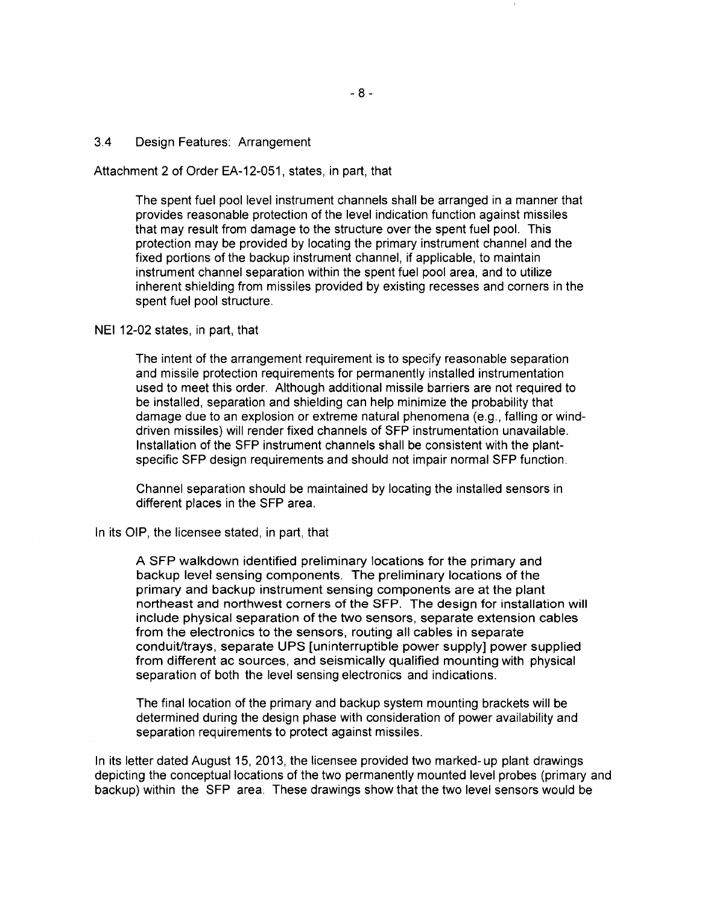#### 3.4 Design Features: Arrangement

Attachment 2 of Order EA-12-051, states, in part, that

The spent fuel pool level instrument channels shall be arranged in a manner that provides reasonable protection of the level indication function against missiles that may result from damage to the structure over the spent fuel pool. This protection may be provided by locating the primary instrument channel and the fixed portions of the backup instrument channel, if applicable, to maintain instrument channel separation within the spent fuel pool area, and to utilize inherent shielding from missiles provided by existing recesses and corners in the spent fuel pool structure.

### NEI 12-02 states, in part, that

The intent of the arrangement requirement is to specify reasonable separation and missile protection requirements for permanently installed instrumentation used to meet this order. Although additional missile barriers are not required to be installed, separation and shielding can help minimize the probability that damage due to an explosion or extreme natural phenomena (e.g., falling or winddriven missiles) will render fixed channels of SFP instrumentation unavailable. Installation of the SFP instrument channels shall be consistent with the plantspecific SFP design requirements and should not impair normal SFP function.

Channel separation should be maintained by locating the installed sensors in different places in the SFP area.

#### In its OIP, the licensee stated, in part, that

A SFP walkdown identified preliminary locations for the primary and backup level sensing components. The preliminary locations of the primary and backup instrument sensing components are at the plant northeast and northwest corners of the SFP. The design for installation will include physical separation of the two sensors, separate extension cables from the electronics to the sensors, routing all cables in separate conduit/trays, separate UPS [uninterruptible power supply] power supplied from different ac sources, and seismically qualified mounting with physical separation of both the level sensing electronics and indications.

The final location of the primary and backup system mounting brackets will be determined during the design phase with consideration of power availability and separation requirements to protect against missiles.

In its letter dated August 15, 2013, the licensee provided two marked- up plant drawings depicting the conceptual locations of the two permanently mounted level probes (primary and backup) within the SFP area. These drawings show that the two level sensors would be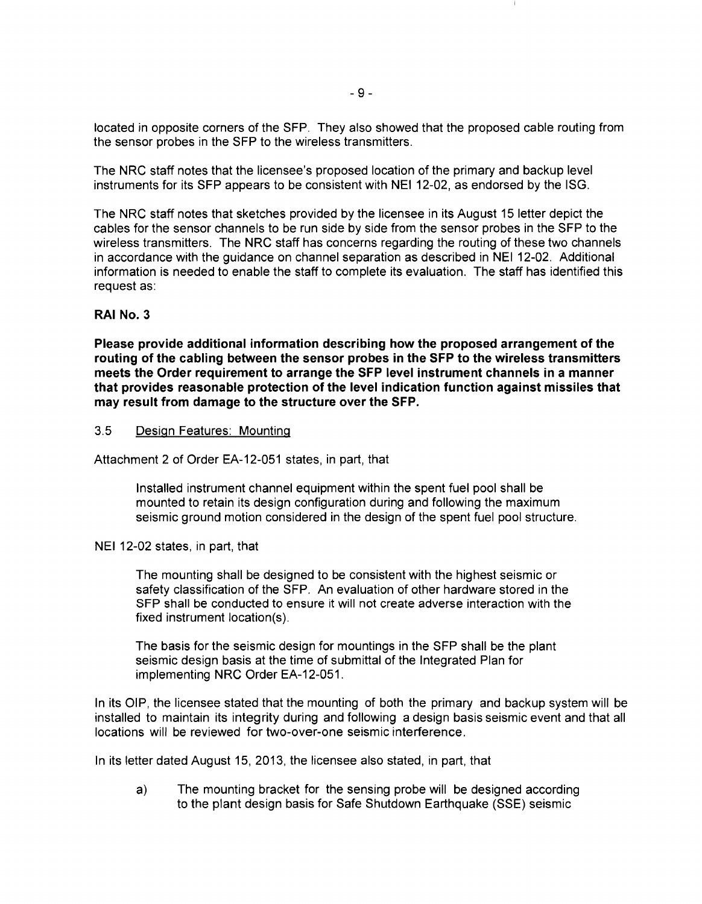located in opposite corners of the SFP. They also showed that the proposed cable routing from the sensor probes in the SFP to the wireless transmitters.

The NRC staff notes that the licensee's proposed location of the primary and backup level instruments for its SFP appears to be consistent with NEI 12-02, as endorsed by the ISG.

The NRC staff notes that sketches provided by the licensee in its August 15 letter depict the cables for the sensor channels to be run side by side from the sensor probes in the SFP to the wireless transmitters. The NRC staff has concerns regarding the routing of these two channels in accordance with the guidance on channel separation as described in NEI 12-02. Additional information is needed to enable the staff to complete its evaluation. The staff has identified this request as:

## **RAI No.3**

**Please provide additional information describing how the proposed arrangement of the routing of the cabling between the sensor probes in the SFP to the wireless transmitters meets the Order requirement to arrange the SFP level instrument channels in a manner that provides reasonable protection of the level indication function against missiles that may result from damage to the structure over the SFP.** 

### 3.5 Design Features: Mounting

Attachment 2 of Order EA-12-051 states, in part, that

Installed instrument channel equipment within the spent fuel pool shall be mounted to retain its design configuration during and following the maximum seismic ground motion considered in the design of the spent fuel pool structure.

### NEI 12-02 states, in part, that

The mounting shall be designed to be consistent with the highest seismic or safety classification of the SFP. An evaluation of other hardware stored in the SFP shall be conducted to ensure it will not create adverse interaction with the fixed instrument location(s).

The basis for the seismic design for mountings in the SFP shall be the plant seismic design basis at the time of submittal of the Integrated Plan for implementing NRC Order EA-12-051.

In its OIP, the licensee stated that the mounting of both the primary and backup system will be installed to maintain its integrity during and following a design basis seismic event and that all locations will be reviewed for two-over-one seismic interference.

In its letter dated August 15, 2013, the licensee also stated, in part, that

a) The mounting bracket for the sensing probe will be designed according to the plant design basis for Safe Shutdown Earthquake (SSE) seismic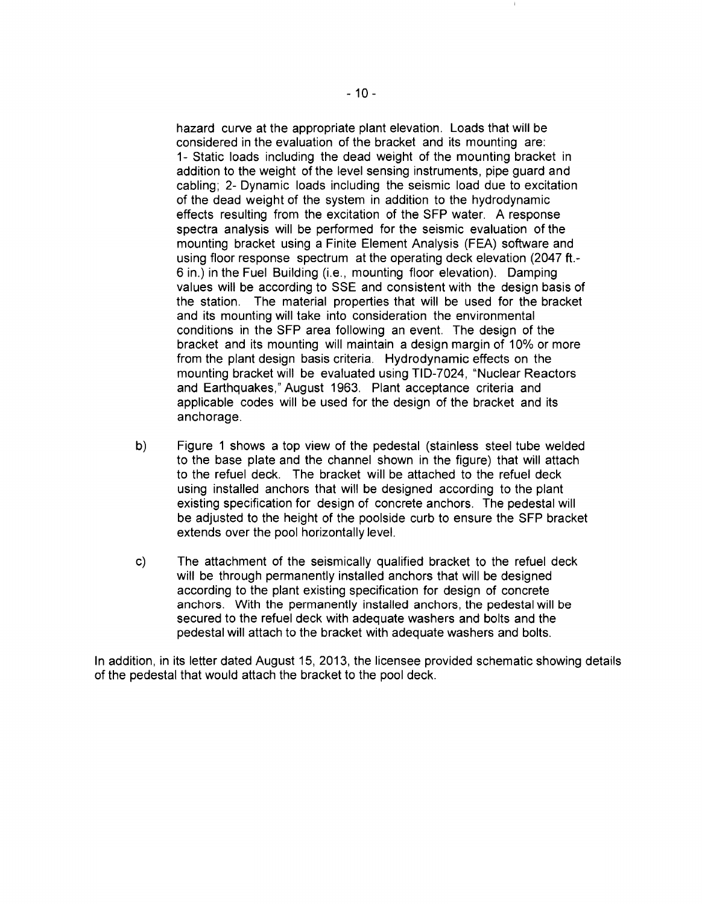hazard curve at the appropriate plant elevation. Loads that will be considered in the evaluation of the bracket and its mounting are: 1- Static loads including the dead weight of the mounting bracket in addition to the weight of the level sensing instruments, pipe guard and cabling; 2- Dynamic loads including the seismic load due to excitation of the dead weight of the system in addition to the hydrodynamic effects resulting from the excitation of the SFP water. A response spectra analysis will be performed for the seismic evaluation of the mounting bracket using a Finite Element Analysis (FEA) software and using floor response spectrum at the operating deck elevation (2047 ft.- 6 in.) in the Fuel Building (i.e., mounting floor elevation). Damping values will be according to SSE and consistent with the design basis of the station. The material properties that will be used for the bracket and its mounting will take into consideration the environmental conditions in the SFP area following an event. The design of the bracket and its mounting will maintain a design margin of 10% or more from the plant design basis criteria. Hydrodynamic effects on the mounting bracket will be evaluated using TID-7024, "Nuclear Reactors and Earthquakes," August 1963. Plant acceptance criteria and applicable codes will be used for the design of the bracket and its anchorage.

- b) Figure 1 shows a top view of the pedestal (stainless steel tube welded to the base plate and the channel shown in the figure) that will attach to the refuel deck. The bracket will be attached to the refuel deck using installed anchors that will be designed according to the plant existing specification for design of concrete anchors. The pedestal will be adjusted to the height of the poolside curb to ensure the SFP bracket extends over the pool horizontally level.
- c) The attachment of the seismically qualified bracket to the refuel deck will be through permanently installed anchors that will be designed according to the plant existing specification for design of concrete anchors. With the permanently installed anchors, the pedestal will be secured to the refuel deck with adequate washers and bolts and the pedestal will attach to the bracket with adequate washers and bolts.

In addition, in its letter dated August 15, 2013, the licensee provided schematic showing details of the pedestal that would attach the bracket to the pool deck.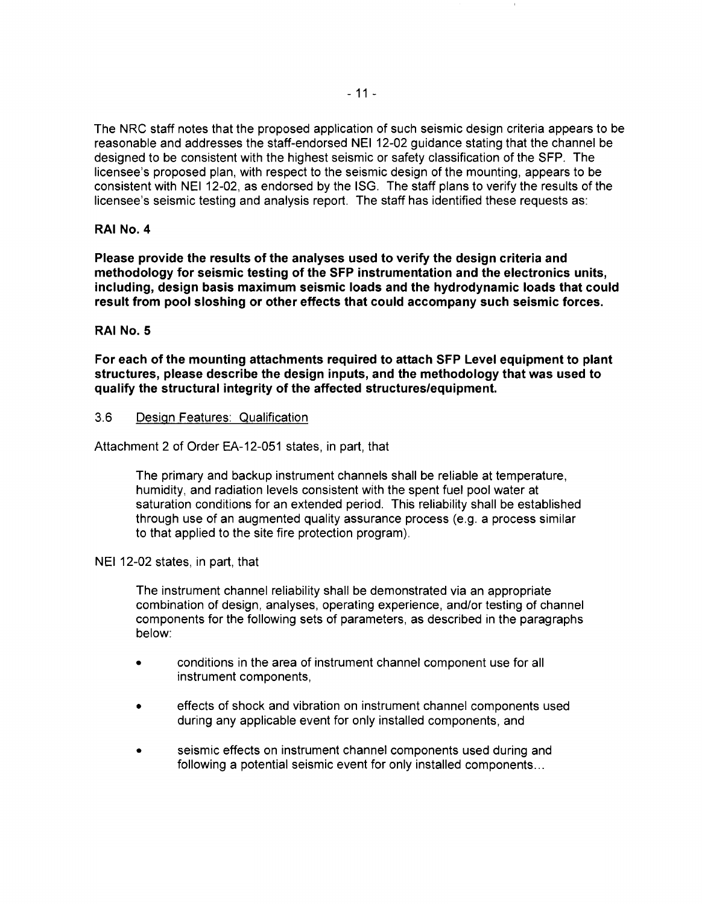The NRC staff notes that the proposed application of such seismic design criteria appears to be reasonable and addresses the staff-endorsed NEI 12-02 guidance stating that the channel be designed to be consistent with the highest seismic or safety classification of the SFP. The licensee's proposed plan, with respect to the seismic design of the mounting, appears to be consistent with NEI 12-02, as endorsed by the ISG. The staff plans to verify the results of the licensee's seismic testing and analysis report. The staff has identified these requests as:

## **RAI No.4**

**Please provide the results of the analyses used to verify the design criteria and methodology for seismic testing of the SFP instrumentation and the electronics units, including, design basis maximum seismic loads and the hydrodynamic loads that could result from pool sloshing or other effects that could accompany such seismic forces.** 

## **RAINo.S**

**For each of the mounting attachments required to attach SFP Level equipment to plant structures, please describe the design inputs, and the methodology that was used to qualify the structural integrity of the affected structures/equipment.** 

### 3.6 Design Features: Qualification

Attachment 2 of Order EA-12-051 states, in part, that

The primary and backup instrument channels shall be reliable at temperature, humidity, and radiation levels consistent with the spent fuel pool water at saturation conditions for an extended period. This reliability shall be established through use of an augmented quality assurance process (e.g. a process similar to that applied to the site fire protection program).

### NEI 12-02 states, in part, that

The instrument channel reliability shall be demonstrated via an appropriate combination of design, analyses, operating experience, and/or testing of channel components for the following sets of parameters, as described in the paragraphs below:

- conditions in the area of instrument channel component use for all instrument components,
- effects of shock and vibration on instrument channel components used during any applicable event for only installed components, and
- seismic effects on instrument channel components used during and following a potential seismic event for only installed components...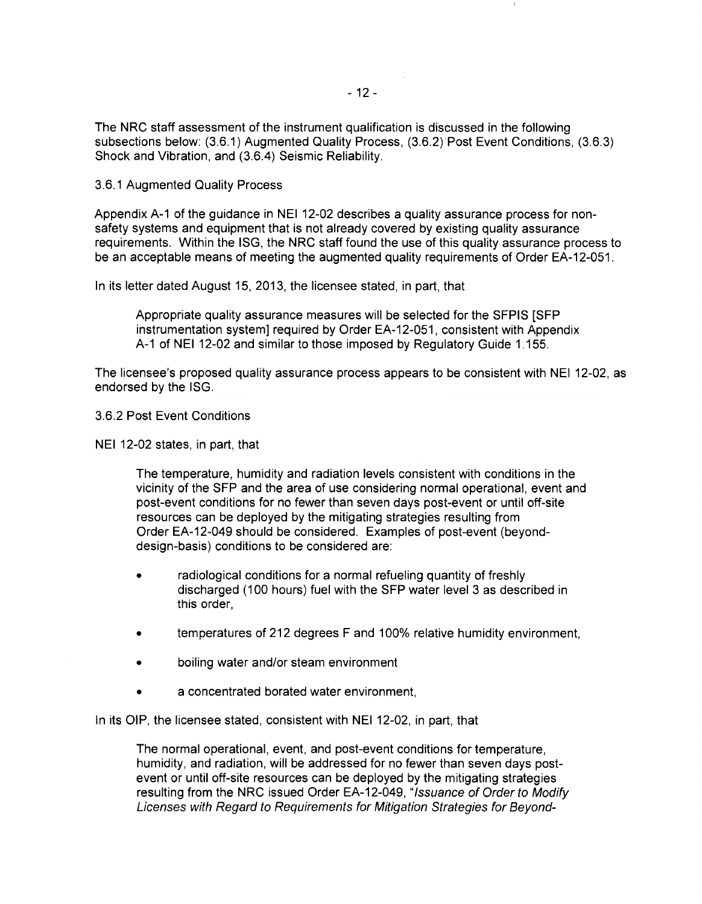The NRC staff assessment of the instrument qualification is discussed in the following subsections below: (3.6.1) Augmented Quality Process, (3.6.2) Post Event Conditions, (3.6.3) Shock and Vibration, and (3.6.4) Seismic Reliability.

3.6.1 Augmented Quality Process

Appendix A-1 of the guidance in NEI 12-02 describes a quality assurance process for nonsafety systems and equipment that is not already covered by existing quality assurance requirements. Within the ISG, the NRC staff found the use of this quality assurance process to be an acceptable means of meeting the augmented quality requirements of Order EA-12-051.

In its letter dated August 15, 2013, the licensee stated, in part, that

Appropriate quality assurance measures will be selected for the SFPIS [SFP instrumentation system] required by Order EA-12-051, consistent with Appendix A-1 of NEI 12-02 and similar to those imposed by Regulatory Guide 1.155.

The licensee's proposed quality assurance process appears to be consistent with NEI 12-02, as endorsed by the ISG.

3.6.2 Post Event Conditions

NEI 12-02 states, in part, that

The temperature, humidity and radiation levels consistent with conditions in the vicinity of the SFP and the area of use considering normal operational, event and post-event conditions for no fewer than seven days post-event or until off-site resources can be deployed by the mitigating strategies resulting from Order EA-12-049 should be considered. Examples of post-event (beyonddesign-basis) conditions to be considered are:

- radiological conditions for a normal refueling quantity of freshly discharged (1 00 hours) fuel with the SFP water level 3 as described in this order,
- temperatures of 212 degrees F and 100% relative humidity environment,
- boiling water and/or steam environment
- a concentrated borated water environment,

In its OIP, the licensee stated, consistent with NEI 12-02, in part, that

The normal operational, event, and post-event conditions for temperature, humidity, and radiation, will be addressed for no fewer than seven days postevent or until off-site resources can be deployed by the mitigating strategies resulting from the NRC issued Order EA-12-049, "Issuance of Order to Modify Licenses with Regard to Requirements for Mitigation Strategies for Beyond-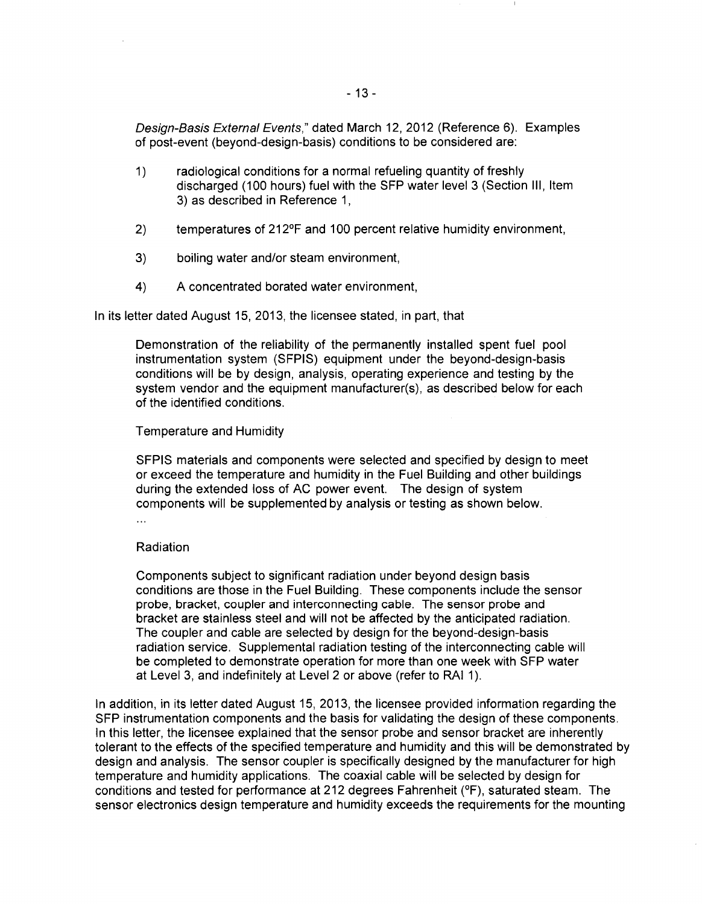Design-Basis External Events," dated March 12, 2012 (Reference 6). Examples of post-event (beyond-design-basis) conditions to be considered are:

- 1) radiological conditions for a normal refueling quantity of freshly discharged (100 hours) fuel with the SFP water level 3 (Section Ill, Item 3) as described in Reference 1,
- 2) temperatures of 212°F and 100 percent relative humidity environment,
- 3) boiling water and/or steam environment,
- 4) A concentrated borated water environment,

In its letter dated August 15, 2013, the licensee stated, in part, that

Demonstration of the reliability of the permanently installed spent fuel pool instrumentation system (SFPIS) equipment under the beyond-design-basis conditions will be by design, analysis, operating experience and testing by the system vendor and the equipment manufacturer(s), as described below for each of the identified conditions.

### Temperature and Humidity

SFPIS materials and components were selected and specified by design to meet or exceed the temperature and humidity in the Fuel Building and other buildings during the extended loss of AC power event. The design of system components will be supplemented by analysis or testing as shown below.

 $\ddotsc$ 

### Radiation

Components subject to significant radiation under beyond design basis conditions are those in the Fuel Building. These components include the sensor probe, bracket, coupler and interconnecting cable. The sensor probe and bracket are stainless steel and will not be affected by the anticipated radiation. The coupler and cable are selected by design for the beyond-design-basis radiation service. Supplemental radiation testing of the interconnecting cable will be completed to demonstrate operation for more than one week with SFP water at Level 3, and indefinitely at Level 2 or above (refer to RAI 1 ).

In addition, in its letter dated August 15, 2013, the licensee provided information regarding the SFP instrumentation components and the basis for validating the design of these components. In this letter, the licensee explained that the sensor probe and sensor bracket are inherently tolerant to the effects of the specified temperature and humidity and this will be demonstrated by design and analysis. The sensor coupler is specifically designed by the manufacturer for high temperature and humidity applications. The coaxial cable will be selected by design for conditions and tested for performance at 212 degrees Fahrenheit (°F), saturated steam. The sensor electronics design temperature and humidity exceeds the requirements for the mounting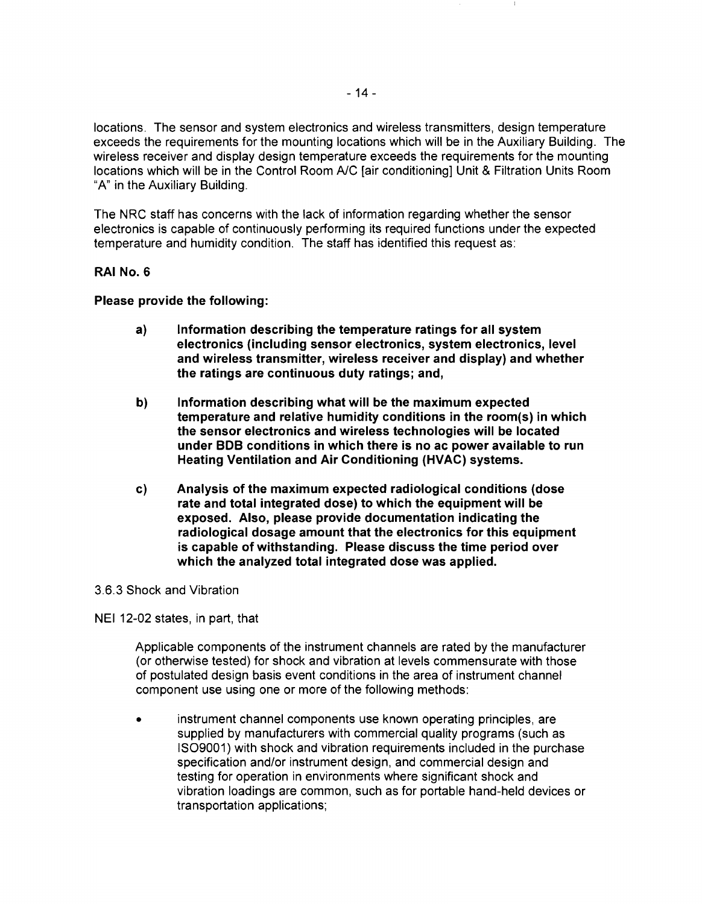locations. The sensor and system electronics and wireless transmitters, design temperature exceeds the requirements for the mounting locations which will be in the Auxiliary Building. The wireless receiver and display design temperature exceeds the requirements for the mounting locations which will be in the Control Room A/C [air conditioning] Unit & Filtration Units Room "A" in the Auxiliary Building.

The NRC staff has concerns with the lack of information regarding whether the sensor electronics is capable of continuously performing its required functions under the expected temperature and humidity condition. The staff has identified this request as:

### RAI No.6

Please provide the following:

- a) Information describing the temperature ratings for all system electronics (including sensor electronics, system electronics, level and wireless transmitter, wireless receiver and display) and whether the ratings are continuous duty ratings; and,
- b) Information describing what will be the maximum expected temperature and relative humidity conditions in the room(s) in which the sensor electronics and wireless technologies will be located under BOB conditions in which there is no ac power available to run Heating Ventilation and Air Conditioning (HVAC) systems.
- c) Analysis of the maximum expected radiological conditions (dose rate and total integrated dose) to which the equipment will be exposed. Also, please provide documentation indicating the radiological dosage amount that the electronics for this equipment is capable of withstanding. Please discuss the time period over which the analyzed total integrated dose was applied.

### 3.6.3 Shock and Vibration

NEI 12-02 states, in part, that

Applicable components of the instrument channels are rated by the manufacturer (or otherwise tested) for shock and vibration at levels commensurate with those of postulated design basis event conditions in the area of instrument channel component use using one or more of the following methods:

instrument channel components use known operating principles, are supplied by manufacturers with commercial quality programs (such as 1809001) with shock and vibration requirements included in the purchase specification and/or instrument design, and commercial design and testing for operation in environments where significant shock and vibration loadings are common, such as for portable hand-held devices or transportation applications;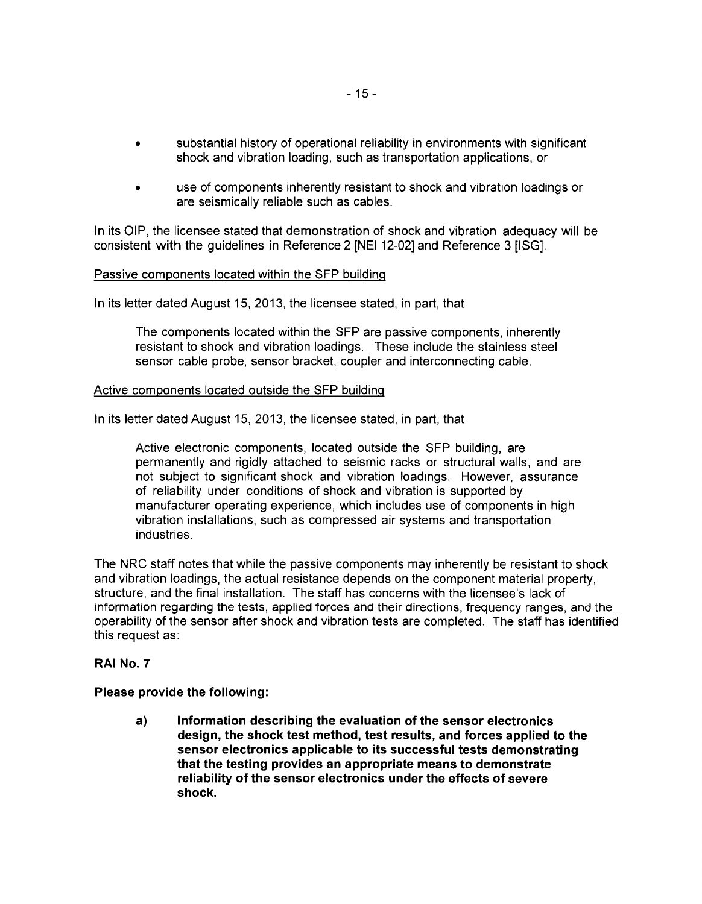- substantial history of operational reliability in environments with significant shock and vibration loading, such as transportation applications, or
- use of components inherently resistant to shock and vibration loadings or are seismically reliable such as cables.

In its OIP, the licensee stated that demonstration of shock and vibration adequacy will be consistent with the guidelines in Reference 2 [NEI 12-02] and Reference 3 [ISG].

### Passive components located within the SFP building

In its letter dated August 15, 2013, the licensee stated, in part, that

The components located within the SFP are passive components, inherently resistant to shock and vibration loadings. These include the stainless steel sensor cable probe, sensor bracket, coupler and interconnecting cable.

### Active components located outside the SFP building

In its letter dated August 15, 2013, the licensee stated, in part, that

Active electronic components, located outside the SFP building, are permanently and rigidly attached to seismic racks or structural walls, and are not subject to significant shock and vibration loadings. However, assurance of reliability under conditions of shock and vibration is supported by manufacturer operating experience, which includes use of components in high vibration installations, such as compressed air systems and transportation industries.

The NRC staff notes that while the passive components may inherently be resistant to shock and vibration loadings, the actual resistance depends on the component material property, structure, and the final installation. The staff has concerns with the licensee's lack of information regarding the tests, applied forces and their directions, frequency ranges, and the operability of the sensor after shock and vibration tests are completed. The staff has identified this request as:

### **RAI No.7**

### **Please provide the following:**

**a) Information describing the evaluation of the sensor electronics design, the shock test method, test results, and forces applied to the sensor electronics applicable to its successful tests demonstrating that the testing provides an appropriate means to demonstrate reliability of the sensor electronics under the effects of severe shock.**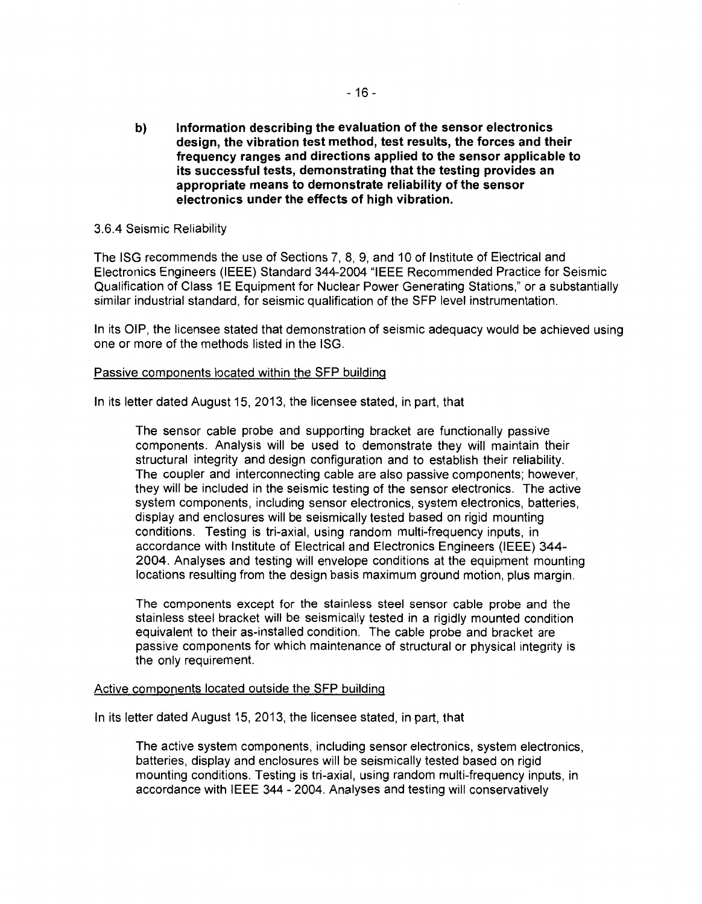**b) Information describing the evaluation of the sensor electronics design, the vibration test method, test results, the forces and their frequency ranges and directions applied to the sensor applicable to its successful tests, demonstrating that the testing provides an appropriate means to demonstrate reliability of the sensor electronics under the effects of high vibration.** 

### 3.6.4 Seismic Reliability

The ISG recommends the use of Sections 7, 8, 9, and 10 of Institute of Electrical and Electronics Engineers (IEEE) Standard 344-2004 "IEEE Recommended Practice for Seismic Qualification of Class 1E Equipment for Nuclear Power Generating Stations," or a substantially similar industrial standard, for seismic qualification of the SFP level instrumentation.

In its OIP, the licensee stated that demonstration of seismic adequacy would be achieved using one or more of the methods listed in the ISG.

### Passive components located within the SFP building

In its letter dated August 15, 2013, the licensee stated, in part, that

The sensor cable probe and supporting bracket are functionally passive components. Analysis will be used to demonstrate they will maintain their structural integrity and design configuration and to establish their reliability. The coupler and interconnecting cable are also passive components; however, they will be included in the seismic testing of the sensor electronics. The active system components, including sensor electronics, system electronics, batteries, display and enclosures will be seismically tested based on rigid mounting conditions. Testing is tri-axial, using random multi-frequency inputs, in accordance with Institute of Electrical and Electronics Engineers (IEEE) 344- 2004. Analyses and testing will envelope conditions at the equipment mounting locations resulting from the design basis maximum ground motion, plus margin.

The components except for the stainless steel sensor cable probe and the stainless steel bracket will be seismically tested in a rigidly mounted condition equivalent to their as-installed condition. The cable probe and bracket are passive components for which maintenance of structural or physical integrity is the only requirement.

### Active components located outside the SFP building

In its letter dated August 15, 2013, the licensee stated, in part, that

The active system components, including sensor electronics, system electronics, batteries, display and enclosures will be seismically tested based on rigid mounting conditions. Testing is tri-axial, using random multi-frequency inputs, in accordance with IEEE 344- 2004. Analyses and testing will conservatively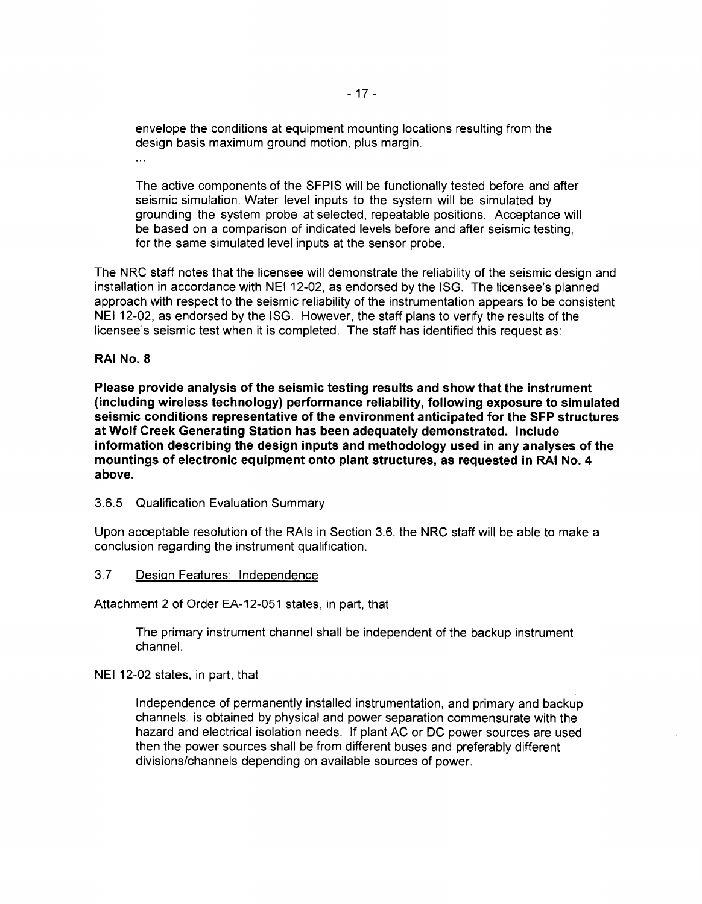envelope the conditions at equipment mounting locations resulting from the design basis maximum ground motion, plus margin.  $\mathbf{r}$ 

The active components of the SFPIS will be functionally tested before and after seismic simulation. Water level inputs to the system will be simulated by grounding the system probe at selected, repeatable positions. Acceptance will be based on a comparison of indicated levels before and after seismic testing, for the same simulated level inputs at the sensor probe.

The NRC staff notes that the licensee will demonstrate the reliability of the seismic design and installation in accordance with NEI 12-02, as endorsed by the ISG. The licensee's planned approach with respect to the seismic reliability of the instrumentation appears to be consistent NEI 12-02, as endorsed by the ISG. However, the staff plans to verify the results of the licensee's seismic test when it is completed. The staff has identified this request as:

### **RAI No.8**

**Please provide analysis of the seismic testing results and show that the instrument (including wireless technology) performance reliability, following exposure to simulated seismic conditions representative of the environment anticipated for the SFP structures at Wolf Creek Generating Station has been adequately demonstrated. Include information describing the design inputs and methodology used in any analyses of the mountings of electronic equipment onto plant structures, as requested in RAI No. 4 above.** 

3.6.5 Qualification Evaluation Summary

Upon acceptable resolution of the RAis in Section 3.6, the NRC staff will be able to make a conclusion regarding the instrument qualification.

### 3.7 Design Features: Independence

Attachment 2 of Order EA-12-051 states, in part, that

The primary instrument channel shall be independent of the backup instrument channel.

NEI 12-02 states, in part, that

Independence of permanently installed instrumentation, and primary and backup channels, is obtained by physical and power separation commensurate with the hazard and electrical isolation needs. If plant AC or DC power sources are used then the power sources shall be from different buses and preferably different divisions/channels depending on available sources of power.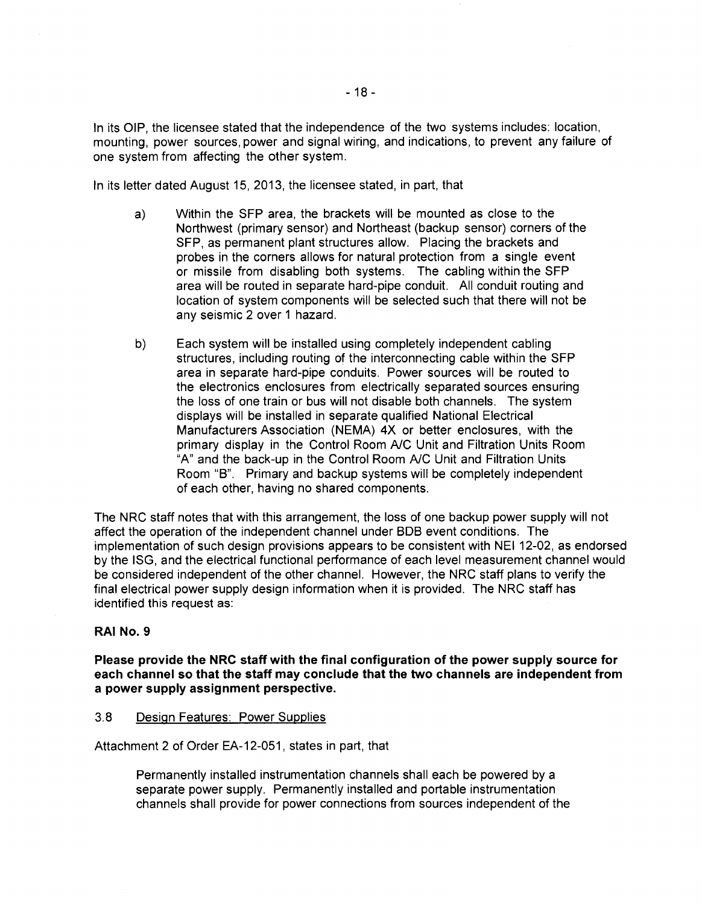In its OIP, the licensee stated that the independence of the two systems includes: location, mounting, power sources, power and signal wiring, and indications, to prevent any failure of one system from affecting the other system.

In its letter dated August 15, 2013, the licensee stated, in part, that

- a) Within the SFP area, the brackets will be mounted as close to the Northwest (primary sensor) and Northeast (backup sensor) corners of the SFP, as permanent plant structures allow. Placing the brackets and probes in the corners allows for natural protection from a single event or missile from disabling both systems. The cabling within the SFP area will be routed in separate hard-pipe conduit. All conduit routing and location of system components will be selected such that there will not be any seismic 2 over 1 hazard.
- b) Each system will be installed using completely independent cabling structures, including routing of the interconnecting cable within the SFP area in separate hard-pipe conduits. Power sources will be routed to the electronics enclosures from electrically separated sources ensuring the loss of one train or bus will not disable both channels. The system displays will be installed in separate qualified National Electrical Manufacturers Association (NEMA) 4X or better enclosures, with the primary display in the Control Room *NC* Unit and Filtration Units Room "A" and the back-up in the Control Room *NC* Unit and Filtration Units Room "8". Primary and backup systems will be completely independent of each other, having no shared components.

The NRC staff notes that with this arrangement, the loss of one backup power supply will not affect the operation of the independent channel under BDB event conditions. The implementation of such design provisions appears to be consistent with NEI 12-02, as endorsed by the ISG, and the electrical functional performance of each level measurement channel would be considered independent of the other channel. However, the NRC staff plans to verify the final electrical power supply design information when it is provided. The NRC staff has identified this request as:

### **RAJ No.9**

**Please provide the NRC staff with the final configuration of the power supply source for each channel so that the staff may conclude that the two channels are independent from a power supply assignment perspective.** 

### 3.8 Design Features: Power Supplies

Attachment 2 of Order EA-12-051, states in part, that

Permanently installed instrumentation channels shall each be powered by a separate power supply. Permanently installed and portable instrumentation channels shall provide for power connections from sources independent of the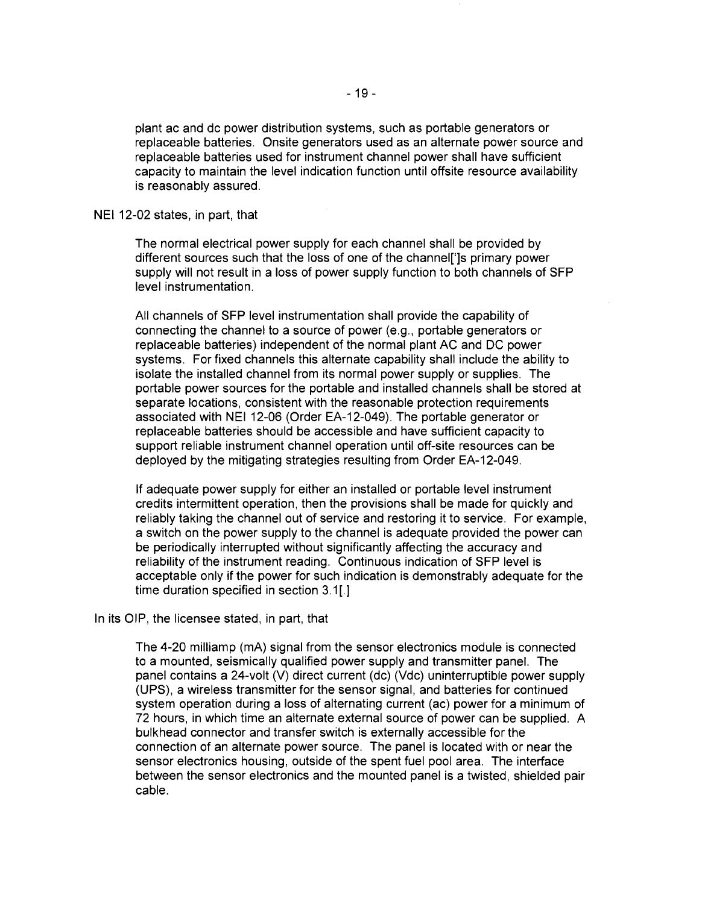plant ac and de power distribution systems, such as portable generators or replaceable batteries. Onsite generators used as an alternate power source and replaceable batteries used for instrument channel power shall have sufficient capacity to maintain the level indication function until offsite resource availability is reasonably assured.

#### NEI 12-02 states, in part, that

The normal electrical power supply for each channel shall be provided by different sources such that the loss of one of the channel[']s primary power supply will not result in a loss of power supply function to both channels of SFP level instrumentation.

All channels of SFP level instrumentation shall provide the capability of connecting the channel to a source of power (e.g., portable generators or replaceable batteries) independent of the normal plant AC and DC power systems. For fixed channels this alternate capability shall include the ability to isolate the installed channel from its normal power supply or supplies. The portable power sources for the portable and installed channels shall be stored at separate locations, consistent with the reasonable protection requirements associated with NEI 12-06 (Order EA-12-049). The portable generator or replaceable batteries should be accessible and have sufficient capacity to support reliable instrument channel operation until off-site resources can be deployed by the mitigating strategies resulting from Order EA-12-049.

If adequate power supply for either an installed or portable level instrument credits intermittent operation, then the provisions shall be made for quickly and reliably taking the channel out of service and restoring it to service. For example, a switch on the power supply to the channel is adequate provided the power can be periodically interrupted without significantly affecting the accuracy and reliability of the instrument reading. Continuous indication of SFP level is acceptable only if the power for such indication is demonstrably adequate for the time duration specified in section 3.1[.]

### In its OIP, the licensee stated, in part, that

The 4-20 milliamp (mA) signal from the sensor electronics module is connected to a mounted, seismically qualified power supply and transmitter panel. The panel contains a 24-volt (V) direct current (de) (Vdc) uninterruptible power supply (UPS), a wireless transmitter for the sensor signal, and batteries for continued system operation during a loss of alternating current (ac) power for a minimum of 72 hours, in which time an alternate external source of power can be supplied. A bulkhead connector and transfer switch is externally accessible for the connection of an alternate power source. The panel is located with or near the sensor electronics housing, outside of the spent fuel pool area. The interface between the sensor electronics and the mounted panel is a twisted, shielded pair cable.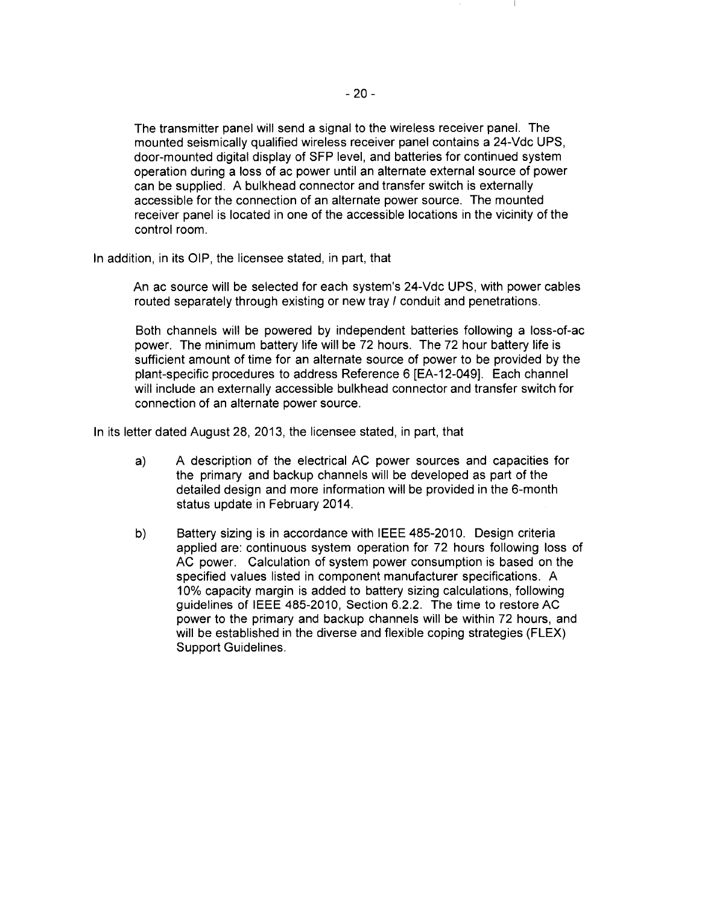The transmitter panel will send a signal to the wireless receiver panel. The mounted seismically qualified wireless receiver panel contains a 24-Vdc UPS, door-mounted digital display of SFP level, and batteries for continued system operation during a loss of ac power until an alternate external source of power can be supplied. A bulkhead connector and transfer switch is externally accessible for the connection of an alternate power source. The mounted receiver panel is located in one of the accessible locations in the vicinity of the control room.

In addition, in its OIP, the licensee stated, in part, that

An ac source will be selected for each system's 24-Vdc UPS, with power cables routed separately through existing or new tray *I* conduit and penetrations.

Both channels will be powered by independent batteries following a loss-of-ac power. The minimum battery life will be 72 hours. The 72 hour battery life is sufficient amount of time for an alternate source of power to be provided by the plant-specific procedures to address Reference 6 [EA-12-049]. Each channel will include an externally accessible bulkhead connector and transfer switch for connection of an alternate power source.

In its letter dated August 28, 2013, the licensee stated, in part, that

- a) A description of the electrical AC power sources and capacities for the primary and backup channels will be developed as part of the detailed design and more information will be provided in the 6-month status update in February 2014.
- b) Battery sizing is in accordance with IEEE 485-2010. Design criteria applied are: continuous system operation for 72 hours following loss of AC power. Calculation of system power consumption is based on the specified values listed in component manufacturer specifications. A 10% capacity margin is added to battery sizing calculations, following guidelines of IEEE 485-2010, Section 6.2.2. The time to restore AC power to the primary and backup channels will be within 72 hours, and will be established in the diverse and flexible coping strategies (FLEX) Support Guidelines.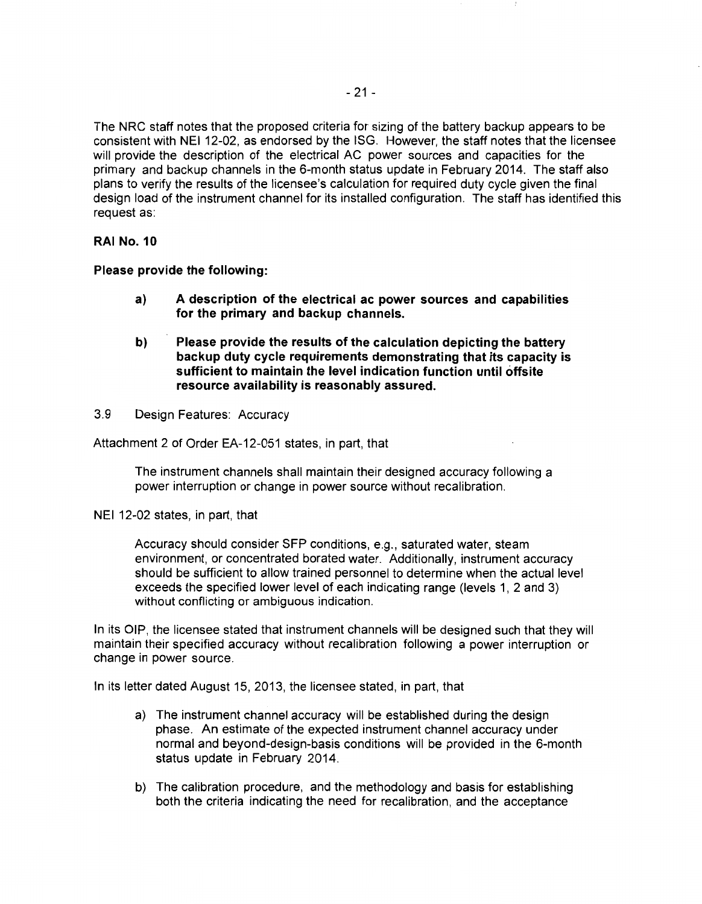The NRC staff notes that the proposed criteria for sizing of the battery backup appears to be consistent with NEI 12-02, as endorsed by the ISG. However, the staff notes that the licensee will provide the description of the electrical AC power sources and capacities for the primary and backup channels in the 6-month status update in February 2014. The staff also plans to verify the results of the licensee's calculation for required duty cycle given the final design load of the instrument channel for its installed configuration. The staff has identified this request as:

### **RAJ No. 10**

**Please provide the following:** 

- **a) A description of the electrical ac power sources and capabilities for the primary and backup channels.**
- **b) Please provide the results of the calculation depicting the battery backup duty cycle requirements demonstrating that its capacity is sufficient to maintain the level indication function until offsite resource availability is reasonably assured.**
- 3.9 Design Features: Accuracy

Attachment 2 of Order EA-12-051 states, in part, that

The instrument channels shall maintain their designed accuracy following a power interruption or change in power source without recalibration.

NEI 12-02 states, in part, that

Accuracy should consider SFP conditions, e.g., saturated water, steam environment, or concentrated borated water. Additionally, instrument accuracy should be sufficient to allow trained personnel to determine when the actual level exceeds the specified lower level of each indicating range (levels 1, 2 and 3) without conflicting or ambiguous indication.

In its OIP, the licensee stated that instrument channels will be designed such that they will maintain their specified accuracy without recalibration following a power interruption or change in power source.

In its letter dated August 15, 2013, the licensee stated, in part, that

- a) The instrument channel accuracy will be established during the design phase. An estimate of the expected instrument channel accuracy under normal and beyond-design-basis conditions will be provided in the 6-month status update in February 2014.
- b) The calibration procedure, and the methodology and basis for establishing both the criteria indicating the need for recalibration, and the acceptance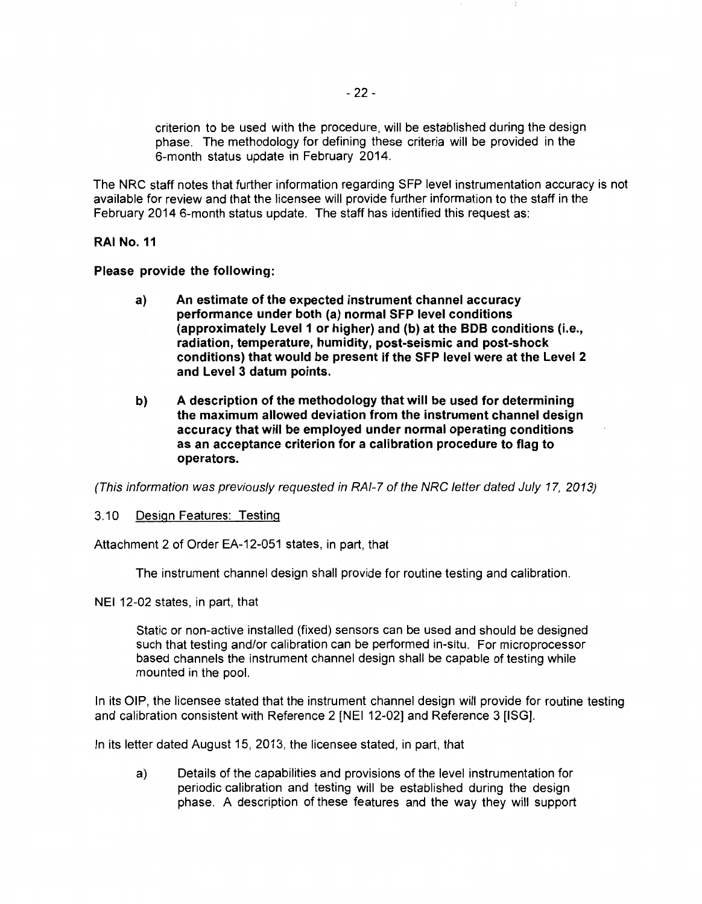criterion to be used with the procedure, will be established during the design phase. The methodology for defining these criteria will be provided in the 6-month status update in February 2014.

The NRC staff notes that further information regarding SFP level instrumentation accuracy is not available for review and that the licensee will provide further information to the staff in the February 2014 6-month status update. The staff has identified this request as:

**RAI No. 11** 

**Please provide the following:** 

- **a) An estimate of the expected instrument channel accuracy performance under both (a) normal SFP level conditions (approximately Level 1 or higher) and (b) at the BOB conditions** (i.e., **radiation, temperature, humidity, post-seismic and post-shock conditions) that would be present if the SFP level were at the Level 2 and Level 3 datum points.**
- **b) A description of the methodology that will be used for determining the maximum allowed deviation from the instrument channel design accuracy that will be employed under normal operating conditions as an acceptance criterion for a calibration procedure to flag to operators.**

(This information was previously requested in RAI-7 of the NRC letter dated July 17, 2013)

### 3.10 Design Features: Testing

Attachment 2 of Order EA-12-051 states, in part, that

The instrument channel design shall provide for routine testing and calibration.

NEI 12-02 states, in part, that

Static or non-active installed (fixed) sensors can be used and should be designed such that testing and/or calibration can be performed in-situ. For microprocessor based channels the instrument channel design shall be capable of testing while mounted in the pool.

In its OIP, the licensee stated that the instrument channel design will provide for routine testing and calibration consistent with Reference 2 [NEI 12-02] and Reference 3 [ISG].

In its letter dated August 15, 2013, the licensee stated, in part, that

a) Details of the capabilities and provisions of the level instrumentation for periodic calibration and testing will be established during the design phase. A description of these features and the way they will support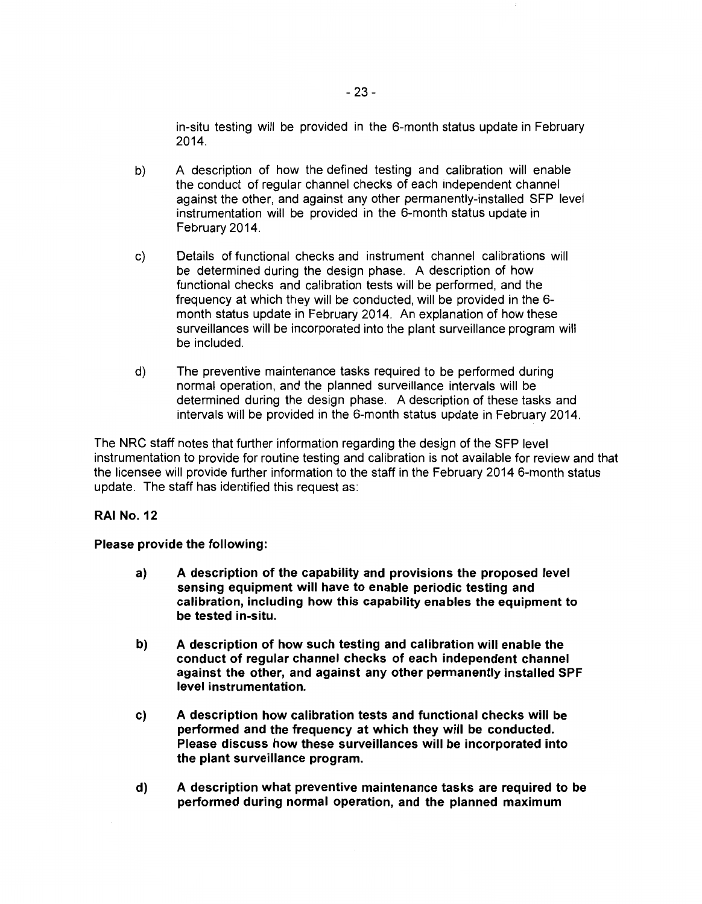in-situ testing will be provided in the 6-month status update in February 2014.

- b) A description of how the defined testing and calibration will enable the conduct of regular channel checks of each independent channel against the other, and against any other permanently-installed SFP level instrumentation will be provided in the 6-month status update in February 2014.
- c) Details of functional checks and instrument channel calibrations will be determined during the design phase. A description of how functional checks and calibration tests will be performed, and the frequency at which they will be conducted, will be provided in the 6 month status update in February 2014. An explanation of how these surveillances will be incorporated into the plant surveillance program will be included.
- d) The preventive maintenance tasks required to be performed during normal operation, and the planned surveillance intervals will be determined during the design phase. A description of these tasks and intervals will be provided in the 6-month status update in February 2014.

The NRC staff notes that further information regarding the design of the SFP level instrumentation to provide for routine testing and calibration is not available for review and that the licensee will provide further information to the staff in the February 2014 6-month status update. The staff has identified this request as:

## **RAI No. 12**

**Please provide the following:** 

- **a) A description of the capability and provisions the proposed level sensing equipment will have to enable periodic testing and calibration, including how this capability enables the equipment to be tested in-situ.**
- **b) A description of how such testing and calibration will enable the conduct of regular channel checks of each independent channel against the other, and against any other permanently installed SPF level instrumentation.**
- **c) A description how calibration tests and functional checks will be performed and the frequency at which they will be conducted. Please discuss how these surveillances will be incorporated into the plant surveillance program.**
- **d) A description what preventive maintenance tasks are required to be performed during normal operation, and the planned maximum**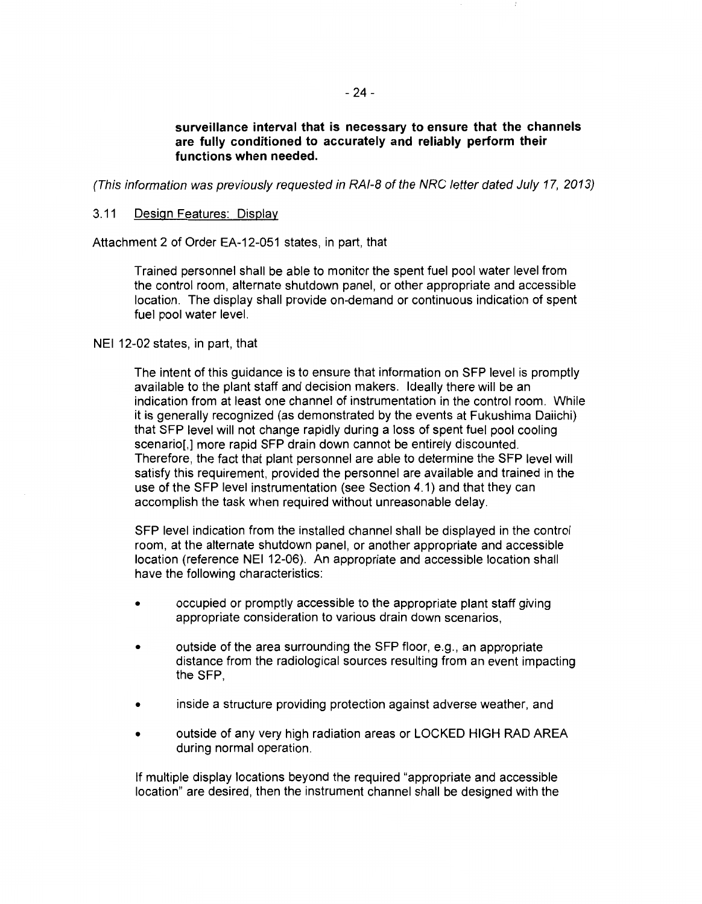**surveillance interval that is necessary to ensure that the channels are fully conditioned to accurately and reliably perform their functions when needed.** 

(This information was previously requested in RAI-8 of the NRC letter dated July 17, 2013)

### 3.11 Design Features: Display

Attachment 2 of Order EA-12-051 states, in part, that

Trained personnel shall be able to monitor the spent fuel pool water level from the control room, alternate shutdown panel, or other appropriate and accessible location. The display shall provide on-demand or continuous indication of spent fuel pool water level.

NEI 12-02 states, in part, that

The intent of this guidance is to ensure that information on SFP level is promptly available to the plant staff and decision makers. Ideally there will be an indication from at least one channel of instrumentation in the control room. While it is generally recognized (as demonstrated by the events at Fukushima Daiichi) that SFP level will not change rapidly during a loss of spent fuel pool cooling scenario[,] more rapid SFP drain down cannot be entirely discounted. Therefore, the fact that plant personnel are able to determine the SFP level will satisfy this requirement, provided the personnel are available and trained in the use of the SFP level instrumentation (see Section 4.1) and that they can accomplish the task when required without unreasonable delay.

SFP level indication from the installed channel shall be displayed in the control room, at the alternate shutdown panel, or another appropriate and accessible location (reference NEI 12-06). An appropriate and accessible location shall have the following characteristics:

- occupied or promptly accessible to the appropriate plant staff giving appropriate consideration to various drain down scenarios,
- outside of the area surrounding the SFP floor, e.g., an appropriate distance from the radiological sources resulting from an event impacting the SFP,
- inside a structure providing protection against adverse weather, and
- outside of any very high radiation areas or LOCKED HIGH RAD AREA during normal operation.

If multiple display locations beyond the required "appropriate and accessible location" are desired, then the instrument channel shall be designed with the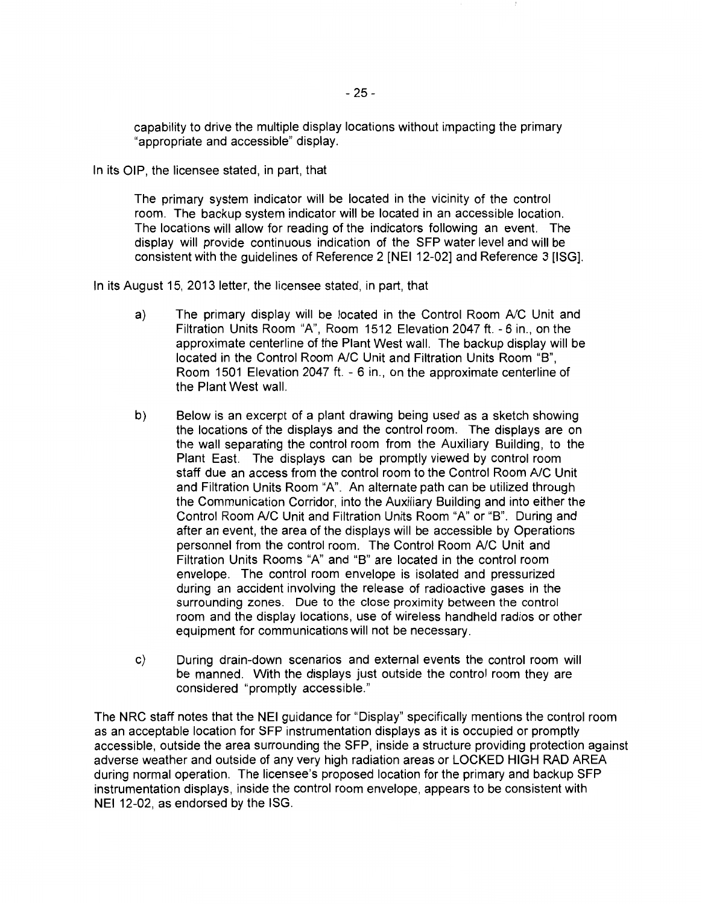capability to drive the multiple display locations without impacting the primary "appropriate and accessible" display.

In its OIP, the licensee stated, in part, that

The primary system indicator will be located in the vicinity of the control room. The backup system indicator will be located in an accessible location. The locations will allow for reading of the indicators following an event. The display will provide continuous indication of the SFP water level and will be consistent with the guidelines of Reference 2 [NEI 12-02] and Reference 3 [ISG].

In its August 15, 2013 letter, the licensee stated, in part, that

- a) The primary display will be located in the Control Room *NC* Unit and Filtration Units Room "A", Room 1512 Elevation 2047 ft.- 6 in., on the approximate centerline of the Plant West wall. The backup display will be located in the Control Room *NC* Unit and Filtration Units Room "B", Room 1501 Elevation 2047 ft. - 6 in., on the approximate centerline of the Plant West wall.
- b) Below is an excerpt of a plant drawing being used as a sketch showing the locations of the displays and the control room. The displays are on the wall separating the control room from the Auxiliary Building, to the Plant East. The displays can be promptly viewed by control room staff due an access from the control room to the Control Room *NC* Unit and Filtration Units Room "A". An alternate path can be utilized through the Communication Corridor, into the Auxiliary Building and into either the Control Room *NC* Unit and Filtration Units Room "A" or "B". During and after an event, the area of the displays will be accessible by Operations personnel from the control room. The Control Room *NC* Unit and Filtration Units Rooms "A" and "B" are located in the control room envelope. The control room envelope is isolated and pressurized during an accident involving the release of radioactive gases in the surrounding zones. Due to the close proximity between the control room and the display locations, use of wireless handheld radios or other equipment for communications will not be necessary.
- c) During drain-down scenarios and external events the control room will be manned. With the displays just outside the control room they are considered "promptly accessible."

The NRC staff notes that the NEI guidance for "Display" specifically mentions the control room as an acceptable location for SFP instrumentation displays as it is occupied or promptly accessible, outside the area surrounding the SFP, inside a structure providing protection against adverse weather and outside of any very high radiation areas or LOCKED HIGH RAD AREA during normal operation. The licensee's proposed location for the primary and backup SFP instrumentation displays, inside the control room envelope, appears to be consistent with NEI 12-02, as endorsed by the ISG.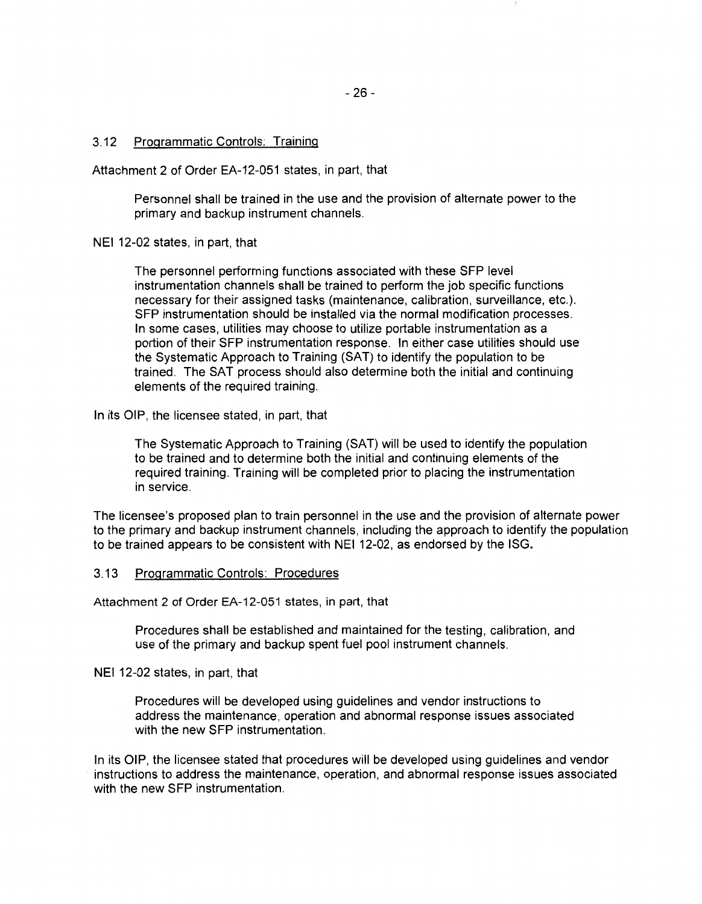### 3.12 Programmatic Controls: Training

Attachment 2 of Order EA-12-051 states, in part, that

Personnel shall be trained in the use and the provision of alternate power to the primary and backup instrument channels.

NEI 12-02 states, in part, that

The personnel performing functions associated with these SFP level instrumentation channels shall be trained to perform the job specific functions necessary for their assigned tasks (maintenance, calibration, surveillance, etc.). SFP instrumentation should be installed via the normal modification processes. In some cases, utilities may choose to utilize portable instrumentation as a portion of their SFP instrumentation response. In either case utilities should use the Systematic Approach to Training (SAT} to identify the population to be trained. The SAT process should also determine both the initial and continuing elements of the required training.

In its OIP, the licensee stated, in part, that

The Systematic Approach to Training (SAT) will be used to identify the population to be trained and to determine both the initial and continuing elements of the required training. Training will be completed prior to placing the instrumentation in service.

The licensee's proposed plan to train personnel in the use and the provision of alternate power to the primary and backup instrument channels, including the approach to identify the population to be trained appears to be consistent with NEI 12-02, as endorsed by the ISG.

### 3.13 Programmatic Controls: Procedures

Attachment 2 of Order EA-12-051 states, in part, that

Procedures shall be established and maintained for the testing, calibration, and use of the primary and backup spent fuel pool instrument channels.

NEI 12-02 states, in part, that

Procedures will be developed using guidelines and vendor instructions to address the maintenance, operation and abnormal response issues associated with the new SFP instrumentation.

In its OIP, the licensee stated that procedures will be developed using guidelines and vendor instructions to address the maintenance, operation, and abnormal response issues associated with the new SFP instrumentation.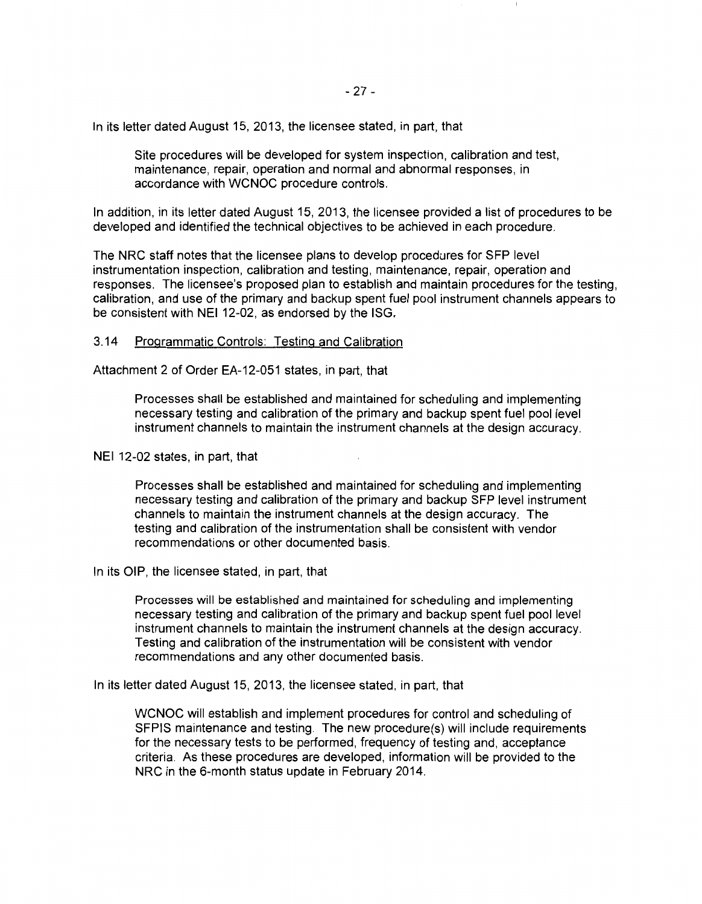In its letter dated August 15, 2013, the licensee stated, in part, that

Site procedures will be developed for system inspection, calibration and test, maintenance, repair, operation and normal and abnormal responses, in accordance with WCNOC procedure controls.

In addition, in its letter dated August 15, 2013, the licensee provided a list of procedures to be developed and identified the technical objectives to be achieved in each procedure.

The NRC staff notes that the licensee plans to develop procedures for SFP level instrumentation inspection, calibration and testing, maintenance, repair, operation and responses. The licensee's proposed plan to establish and maintain procedures for the testing, calibration, and use of the primary and backup spent fuel pool instrument channels appears to be consistent with NEI 12-02, as endorsed by the ISG.

### 3.14 Programmatic Controls: Testing and Calibration

Attachment 2 of Order EA-12-051 states, in part, that

Processes shall be established and maintained for scheduling and implementing necessary testing and calibration of the primary and backup spent fuel pool level instrument channels to maintain the instrument channels at the design accuracy.

NEI 12-02 states, in part, that

Processes shall be established and maintained for scheduling and implementing necessary testing and calibration of the primary and backup SFP level instrument channels to maintain the instrument channels at the design accuracy. The testing and calibration of the instrumentation shall be consistent with vendor recommendations or other documented basis.

In its OIP, the licensee stated, in part, that

Processes will be established and maintained for scheduling and implementing necessary testing and calibration of the primary and backup spent fuel pool level instrument channels to maintain the instrument channels at the design accuracy. Testing and calibration of the instrumentation will be consistent with vendor recommendations and any other documented basis.

In its letter dated August 15, 2013, the licensee stated, in part, that

WCNOC will establish and implement procedures for control and scheduling of SFPIS maintenance and testing. The new procedure(s) will include requirements for the necessary tests to be performed, frequency of testing and, acceptance criteria. As these procedures are developed, information will be provided to the NRC in the 6-month status update in February 2014.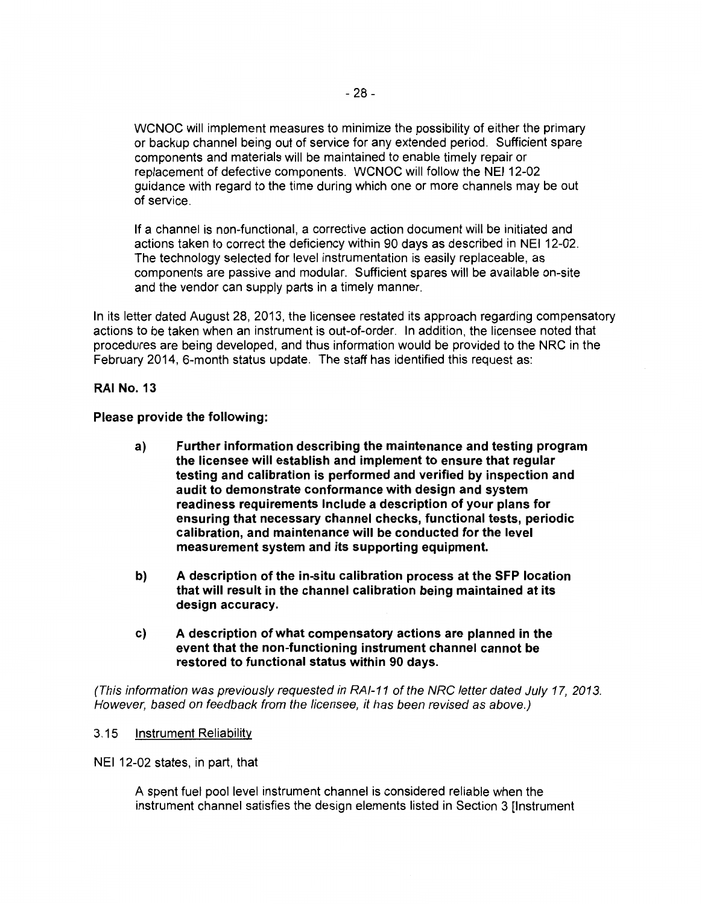WCNOC will implement measures to minimize the possibility of either the primary or backup channel being out of service for any extended period. Sufficient spare components and materials will be maintained to enable timely repair or replacement of defective components. WCNOC will follow the NEI 12-02 guidance with regard to the time during which one or more channels may be out of service.

If a channel is non-functional, a corrective action document will be initiated and actions taken to correct the deficiency within 90 days as described in NEI 12-02. The technology selected for level instrumentation is easily replaceable, as components are passive and modular. Sufficient spares will be available on-site and the vendor can supply parts in a timely manner.

In its letter dated August 28, 2013, the licensee restated its approach regarding compensatory actions to be taken when an instrument is out-of-order. In addition, the licensee noted that procedures are being developed, and thus information would be provided to the NRC in the February 2014, 6-month status update. The staff has identified this request as:

### **RAI No. 13**

**Please provide the following:** 

- **a) Further information describing the maintenance and testing program the licensee will establish and implement to ensure that regular testing and calibration is performed and verified by inspection and audit to demonstrate conformance with design and system readiness requirements Include a description of your plans for ensuring that necessary channel checks, functional tests, periodic calibration, and maintenance will be conducted for the level measurement system and its supporting equipment.**
- **b) A description of the in-situ calibration process at the SFP location that will result in the channel calibration being maintained at its design accuracy.**
- **c) A description of what compensatory actions are planned in the event that the non-functioning instrument channel cannot be restored to functional status within 90 days.**

(This information was previously requested in RAI-11 of the NRC letter dated July 17, 2013. However, based on feedback from the licensee, it has been revised as above.)

### 3.15 Instrument Reliability

NEI 12-02 states, in part, that

A spent fuel pool level instrument channel is considered reliable when the instrument channel satisfies the design elements listed in Section 3 [Instrument]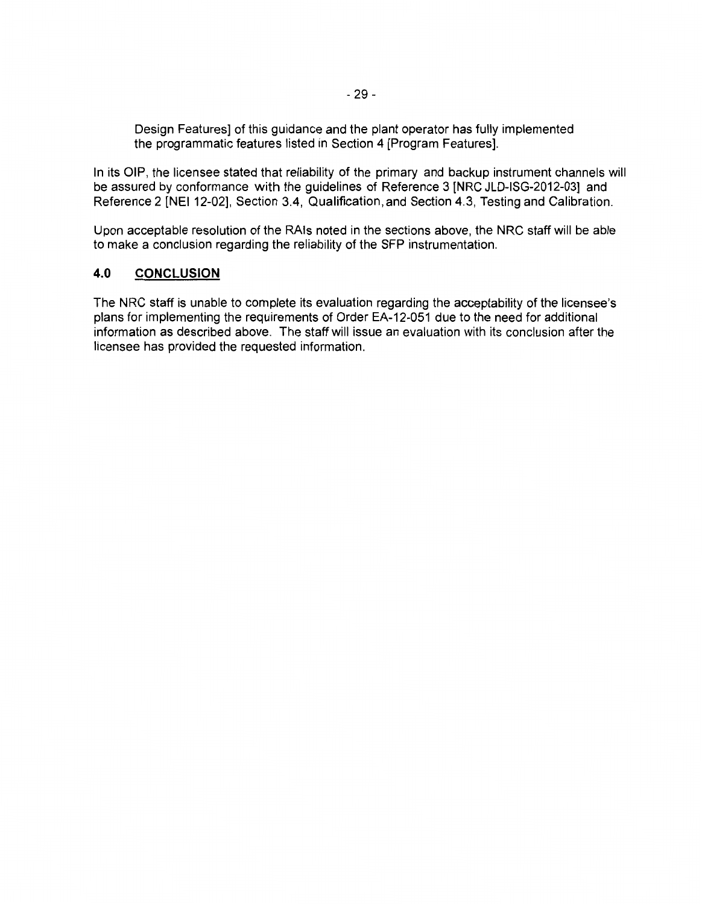Design Features] of this guidance and the plant operator has fully implemented the programmatic features listed in Section 4 [Program Features].

In its OIP, the licensee stated that reliability of the primary and backup instrument channels will be assured by conformance with the guidelines of Reference 3 [NRC JLD-ISG-2012-03] and Reference 2 [NEI 12-02], Section 3.4, Qualification, and Section 4.3, Testing and Calibration.

Upon acceptable resolution of the RAis noted in the sections above, the NRC staff will be able to make a conclusion regarding the reliability of the SFP instrumentation.

## **4.0 CONCLUSION**

The NRC staff is unable to complete its evaluation regarding the acceptability of the licensee's plans for implementing the requirements of Order EA-12-051 due to the need for additional information as described above. The staff will issue an evaluation with its conclusion after the licensee has provided the requested information.